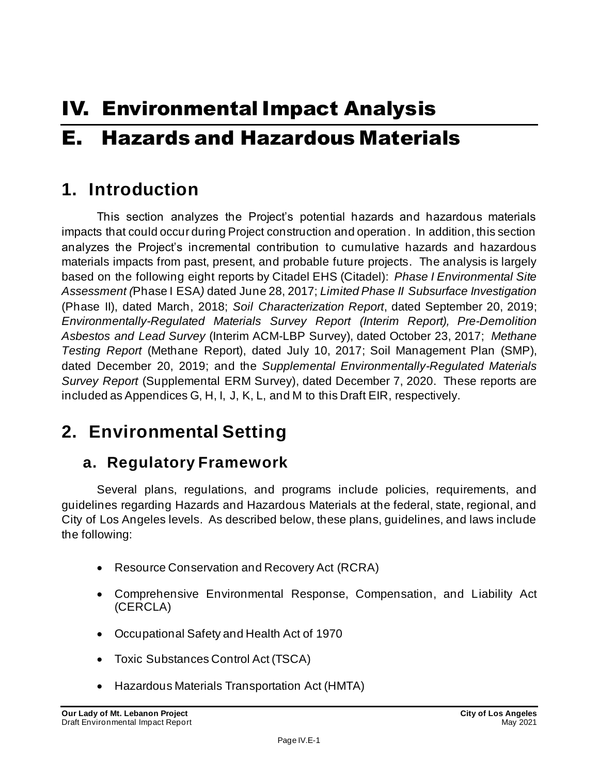# IV. Environmental Impact Analysis E. Hazards and Hazardous Materials

# **1. Introduction**

This section analyzes the Project's potential hazards and hazardous materials impacts that could occur during Project construction and operation. In addition, this section analyzes the Project's incremental contribution to cumulative hazards and hazardous materials impacts from past, present, and probable future projects. The analysis is largely based on the following eight reports by Citadel EHS (Citadel): *Phase I Environmental Site Assessment (*Phase I ESA*)* dated June 28, 2017; *Limited Phase II Subsurface Investigation* (Phase II), dated March, 2018; *Soil Characterization Report*, dated September 20, 2019; *Environmentally-Regulated Materials Survey Report (Interim Report), Pre-Demolition Asbestos and Lead Survey* (Interim ACM-LBP Survey), dated October 23, 2017; *Methane Testing Report* (Methane Report), dated July 10, 2017; Soil Management Plan (SMP), dated December 20, 2019; and the *Supplemental Environmentally-Regulated Materials Survey Report* (Supplemental ERM Survey), dated December 7, 2020. These reports are included as Appendices G, H, I, J, K, L, and M to this Draft EIR, respectively.

# **2. Environmental Setting**

# **a. Regulatory Framework**

Several plans, regulations, and programs include policies, requirements, and guidelines regarding Hazards and Hazardous Materials at the federal, state, regional, and City of Los Angeles levels. As described below, these plans, guidelines, and laws include the following:

- Resource Conservation and Recovery Act (RCRA)
- Comprehensive Environmental Response, Compensation, and Liability Act (CERCLA)
- Occupational Safety and Health Act of 1970
- Toxic Substances Control Act (TSCA)
- Hazardous Materials Transportation Act (HMTA)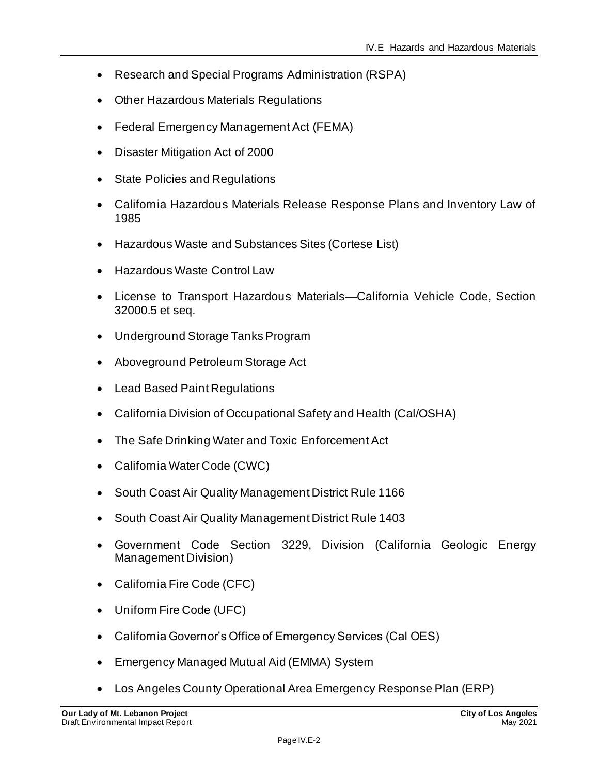- Research and Special Programs Administration (RSPA)
- Other Hazardous Materials Regulations
- Federal Emergency Management Act (FEMA)
- Disaster Mitigation Act of 2000
- State Policies and Regulations
- California Hazardous Materials Release Response Plans and Inventory Law of 1985
- Hazardous Waste and Substances Sites (Cortese List)
- Hazardous Waste Control Law
- License to Transport Hazardous Materials—California Vehicle Code, Section 32000.5 et seq.
- Underground Storage Tanks Program
- Aboveground Petroleum Storage Act
- Lead Based Paint Regulations
- California Division of Occupational Safety and Health (Cal/OSHA)
- The Safe Drinking Water and Toxic Enforcement Act
- California Water Code (CWC)
- South Coast Air Quality Management District Rule 1166
- South Coast Air Quality Management District Rule 1403
- Government Code Section 3229, Division (California Geologic Energy Management Division)
- California Fire Code (CFC)
- Uniform Fire Code (UFC)
- California Governor's Office of Emergency Services (Cal OES)
- Emergency Managed Mutual Aid (EMMA) System
- Los Angeles County Operational Area Emergency Response Plan (ERP)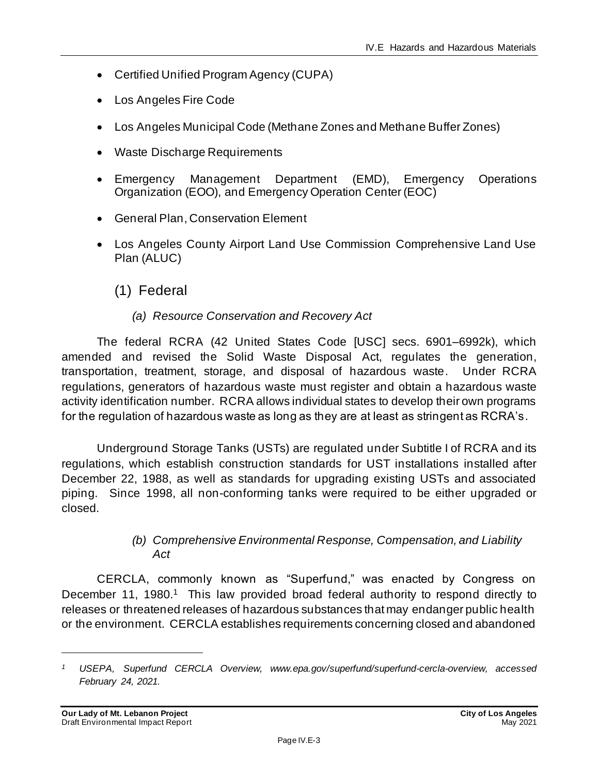- Certified Unified Program Agency (CUPA)
- Los Angeles Fire Code
- Los Angeles Municipal Code (Methane Zones and Methane Buffer Zones)
- Waste Discharge Requirements
- Emergency Management Department (EMD), Emergency Operations Organization (EOO), and Emergency Operation Center (EOC)
- General Plan, Conservation Element
- Los Angeles County Airport Land Use Commission Comprehensive Land Use Plan (ALUC)
	- (1) Federal

#### *(a) Resource Conservation and Recovery Act*

The federal RCRA (42 United States Code [USC] secs. 6901–6992k), which amended and revised the Solid Waste Disposal Act, regulates the generation, transportation, treatment, storage, and disposal of hazardous waste. Under RCRA regulations, generators of hazardous waste must register and obtain a hazardous waste activity identification number. RCRA allows individual states to develop their own programs for the regulation of hazardous waste as long as they are at least as stringent as RCRA's.

Underground Storage Tanks (USTs) are regulated under Subtitle I of RCRA and its regulations, which establish construction standards for UST installations installed after December 22, 1988, as well as standards for upgrading existing USTs and associated piping. Since 1998, all non-conforming tanks were required to be either upgraded or closed.

#### *(b) Comprehensive Environmental Response, Compensation, and Liability Act*

CERCLA, commonly known as "Superfund," was enacted by Congress on December 11, 1980.<sup>1</sup> This law provided broad federal authority to respond directly to releases or threatened releases of hazardous substances that may endanger public health or the environment. CERCLA establishes requirements concerning closed and abandoned

*<sup>1</sup> USEPA, Superfund CERCLA Overview, www.epa.gov/superfund/superfund-cercla-overview, accessed February 24, 2021.*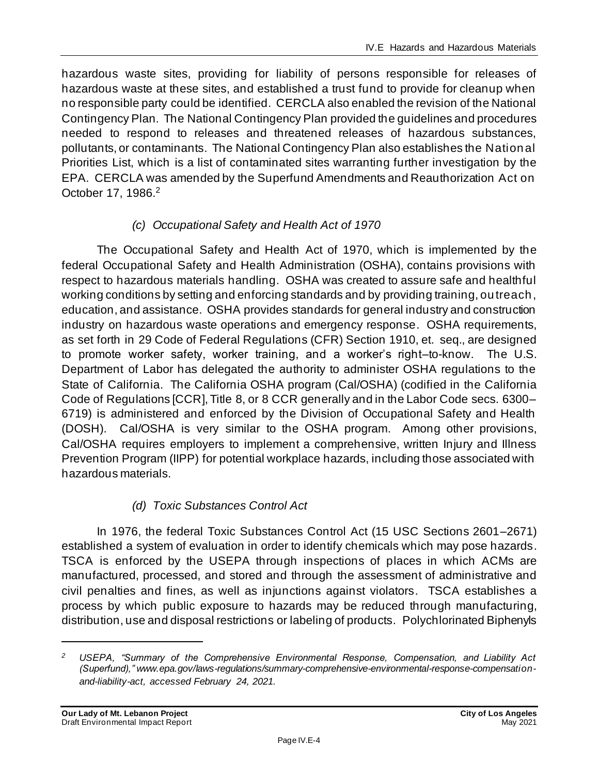hazardous waste sites, providing for liability of persons responsible for releases of hazardous waste at these sites, and established a trust fund to provide for cleanup when no responsible party could be identified. CERCLA also enabled the revision of the National Contingency Plan. The National Contingency Plan provided the guidelines and procedures needed to respond to releases and threatened releases of hazardous substances, pollutants, or contaminants. The National Contingency Plan also establishes the National Priorities List, which is a list of contaminated sites warranting further investigation by the EPA. CERCLA was amended by the Superfund Amendments and Reauthorization Act on October 17, 1986.<sup>2</sup>

# *(c) Occupational Safety and Health Act of 1970*

The Occupational Safety and Health Act of 1970, which is implemented by the federal Occupational Safety and Health Administration (OSHA), contains provisions with respect to hazardous materials handling. OSHA was created to assure safe and healthful working conditions by setting and enforcing standards and by providing training, outreach, education, and assistance. OSHA provides standards for general industry and construction industry on hazardous waste operations and emergency response. OSHA requirements, as set forth in 29 Code of Federal Regulations (CFR) Section 1910, et. seq., are designed to promote worker safety, worker training, and a worker's right–to-know. The U.S. Department of Labor has delegated the authority to administer OSHA regulations to the State of California. The California OSHA program (Cal/OSHA) (codified in the California Code of Regulations [CCR], Title 8, or 8 CCR generally and in the Labor Code secs. 6300– 6719) is administered and enforced by the Division of Occupational Safety and Health (DOSH). Cal/OSHA is very similar to the OSHA program. Among other provisions, Cal/OSHA requires employers to implement a comprehensive, written Injury and Illness Prevention Program (IIPP) for potential workplace hazards, including those associated with hazardous materials.

## *(d) Toxic Substances Control Act*

In 1976, the federal Toxic Substances Control Act (15 USC Sections 2601–2671) established a system of evaluation in order to identify chemicals which may pose hazards. TSCA is enforced by the USEPA through inspections of places in which ACMs are manufactured, processed, and stored and through the assessment of administrative and civil penalties and fines, as well as injunctions against violators. TSCA establishes a process by which public exposure to hazards may be reduced through manufacturing, distribution, use and disposal restrictions or labeling of products. Polychlorinated Biphenyls

*<sup>2</sup> USEPA, "Summary of the Comprehensive Environmental Response, Compensation, and Liability Act (Superfund)," www.epa.gov/laws-regulations/summary-comprehensive-environmental-response-compensationand-liability-act, accessed February 24, 2021.*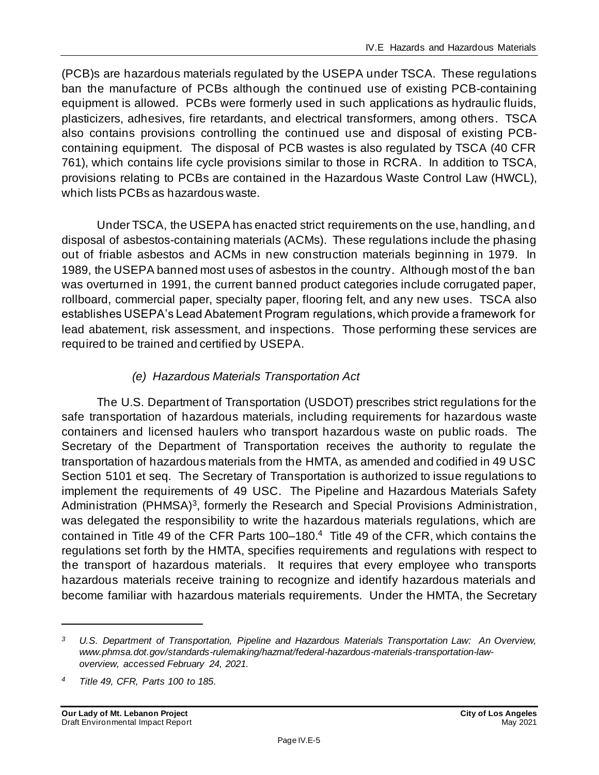(PCB)s are hazardous materials regulated by the USEPA under TSCA. These regulations ban the manufacture of PCBs although the continued use of existing PCB-containing equipment is allowed. PCBs were formerly used in such applications as hydraulic fluids, plasticizers, adhesives, fire retardants, and electrical transformers, among others. TSCA also contains provisions controlling the continued use and disposal of existing PCBcontaining equipment. The disposal of PCB wastes is also regulated by TSCA (40 CFR 761), which contains life cycle provisions similar to those in RCRA. In addition to TSCA, provisions relating to PCBs are contained in the Hazardous Waste Control Law (HWCL), which lists PCBs as hazardous waste.

Under TSCA, the USEPA has enacted strict requirements on the use, handling, and disposal of asbestos-containing materials (ACMs). These regulations include the phasing out of friable asbestos and ACMs in new construction materials beginning in 1979. In 1989, the USEPA banned most uses of asbestos in the country. Although most of the ban was overturned in 1991, the current banned product categories include corrugated paper, rollboard, commercial paper, specialty paper, flooring felt, and any new uses. TSCA also establishes USEPA's Lead Abatement Program regulations, which provide a framework for lead abatement, risk assessment, and inspections. Those performing these services are required to be trained and certified by USEPA.

# *(e) Hazardous Materials Transportation Act*

The U.S. Department of Transportation (USDOT) prescribes strict regulations for the safe transportation of hazardous materials, including requirements for hazardous waste containers and licensed haulers who transport hazardous waste on public roads. The Secretary of the Department of Transportation receives the authority to regulate the transportation of hazardous materials from the HMTA, as amended and codified in 49 USC Section 5101 et seq. The Secretary of Transportation is authorized to issue regulations to implement the requirements of 49 USC. The Pipeline and Hazardous Materials Safety Administration (PHMSA)<sup>3</sup>, formerly the Research and Special Provisions Administration, was delegated the responsibility to write the hazardous materials regulations, which are contained in Title 49 of the CFR Parts 100–180.<sup>4</sup> Title 49 of the CFR, which contains the regulations set forth by the HMTA, specifies requirements and regulations with respect to the transport of hazardous materials. It requires that every employee who transports hazardous materials receive training to recognize and identify hazardous materials and become familiar with hazardous materials requirements. Under the HMTA, the Secretary

*<sup>3</sup> U.S. Department of Transportation, Pipeline and Hazardous Materials Transportation Law: An Overview, www.phmsa.dot.gov/standards-rulemaking/hazmat/federal-hazardous-materials-transportation-lawoverview, accessed February 24, 2021.*

*<sup>4</sup> Title 49, CFR, Parts 100 to 185.*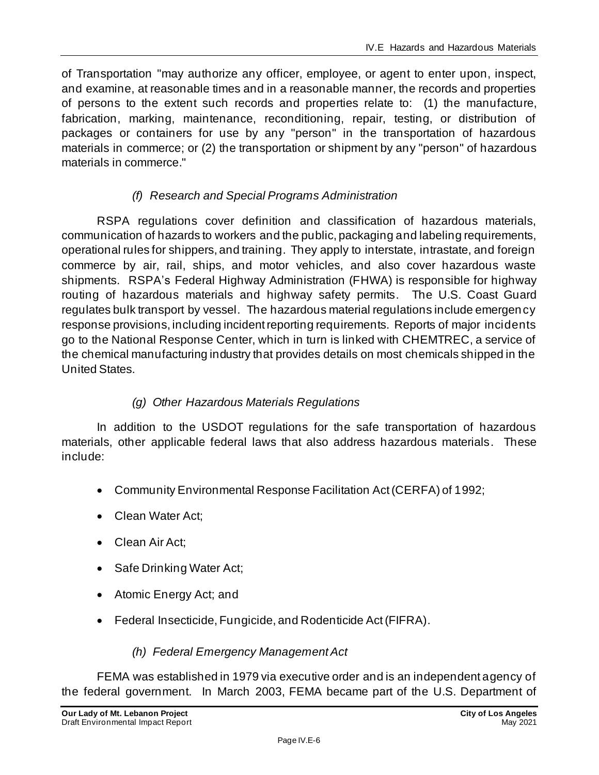of Transportation "may authorize any officer, employee, or agent to enter upon, inspect, and examine, at reasonable times and in a reasonable manner, the records and properties of persons to the extent such records and properties relate to: (1) the manufacture, fabrication, marking, maintenance, reconditioning, repair, testing, or distribution of packages or containers for use by any "person" in the transportation of hazardous materials in commerce; or (2) the transportation or shipment by any "person" of hazardous materials in commerce."

# *(f) Research and Special Programs Administration*

RSPA regulations cover definition and classification of hazardous materials, communication of hazards to workers and the public, packaging and labeling requirements, operational rules for shippers, and training. They apply to interstate, intrastate, and foreign commerce by air, rail, ships, and motor vehicles, and also cover hazardous waste shipments. RSPA's Federal Highway Administration (FHWA) is responsible for highway routing of hazardous materials and highway safety permits. The U.S. Coast Guard regulates bulk transport by vessel. The hazardous material regulations include emergency response provisions, including incident reporting requirements. Reports of major incidents go to the National Response Center, which in turn is linked with CHEMTREC, a service of the chemical manufacturing industry that provides details on most chemicals shipped in the United States.

# *(g) Other Hazardous Materials Regulations*

In addition to the USDOT regulations for the safe transportation of hazardous materials, other applicable federal laws that also address hazardous materials. These include:

- Community Environmental Response Facilitation Act (CERFA) of 1992;
- Clean Water Act;
- Clean Air Act;
- Safe Drinking Water Act;
- Atomic Energy Act; and
- Federal Insecticide, Fungicide, and Rodenticide Act (FIFRA).

## *(h) Federal Emergency Management Act*

FEMA was established in 1979 via executive order and is an independent agency of the federal government. In March 2003, FEMA became part of the U.S. Department of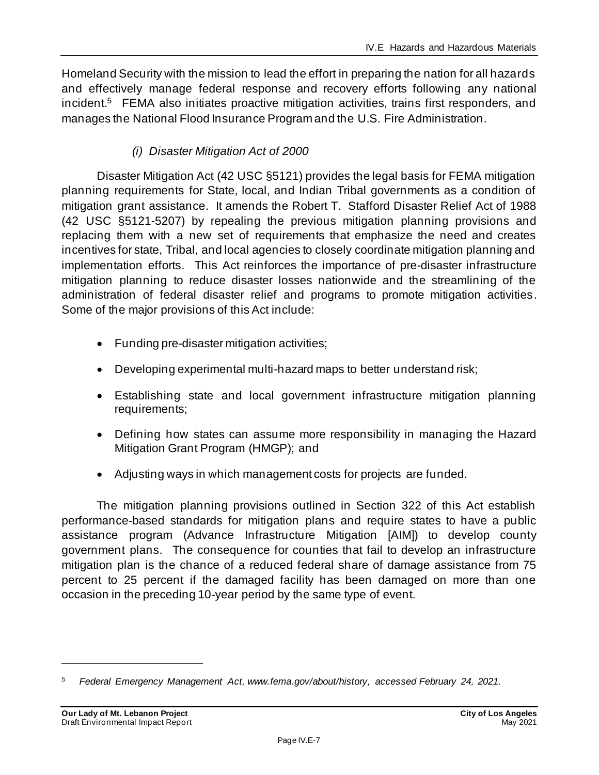Homeland Security with the mission to lead the effort in preparing the nation for all hazards and effectively manage federal response and recovery efforts following any national incident. <sup>5</sup> FEMA also initiates proactive mitigation activities, trains first responders, and manages the National Flood Insurance Program and the U.S. Fire Administration.

# *(i) Disaster Mitigation Act of 2000*

Disaster Mitigation Act (42 USC §5121) provides the legal basis for FEMA mitigation planning requirements for State, local, and Indian Tribal governments as a condition of mitigation grant assistance. It amends the Robert T. Stafford Disaster Relief Act of 1988 (42 USC §5121-5207) by repealing the previous mitigation planning provisions and replacing them with a new set of requirements that emphasize the need and creates incentives for state, Tribal, and local agencies to closely coordinate mitigation planning and implementation efforts. This Act reinforces the importance of pre-disaster infrastructure mitigation planning to reduce disaster losses nationwide and the streamlining of the administration of federal disaster relief and programs to promote mitigation activities. Some of the major provisions of this Act include:

- Funding pre-disaster mitigation activities;
- Developing experimental multi-hazard maps to better understand risk;
- Establishing state and local government infrastructure mitigation planning requirements;
- Defining how states can assume more responsibility in managing the Hazard Mitigation Grant Program (HMGP); and
- Adjusting ways in which management costs for projects are funded.

The mitigation planning provisions outlined in Section 322 of this Act establish performance-based standards for mitigation plans and require states to have a public assistance program (Advance Infrastructure Mitigation [AIM]) to develop county government plans. The consequence for counties that fail to develop an infrastructure mitigation plan is the chance of a reduced federal share of damage assistance from 75 percent to 25 percent if the damaged facility has been damaged on more than one occasion in the preceding 10-year period by the same type of event.

*<sup>5</sup> Federal Emergency Management Act, www.fema.gov/about/history, accessed February 24, 2021.*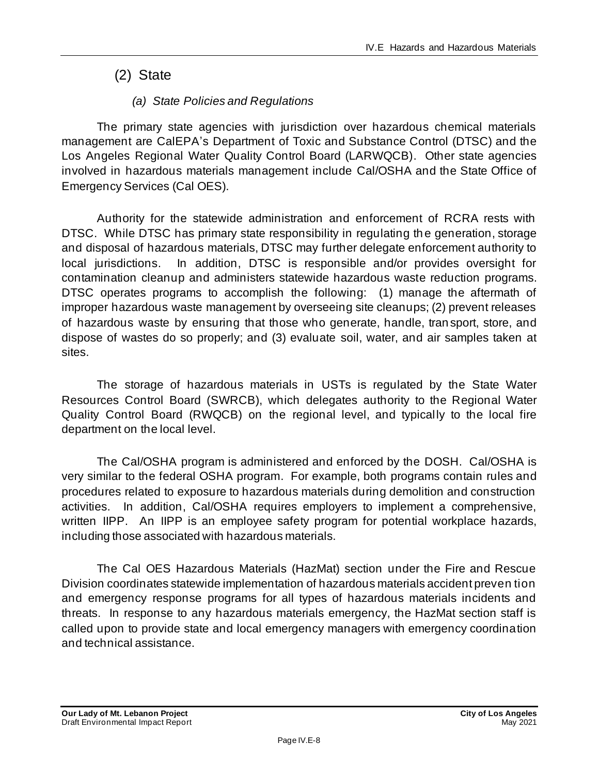# (2) State

# *(a) State Policies and Regulations*

The primary state agencies with jurisdiction over hazardous chemical materials management are CalEPA's Department of Toxic and Substance Control (DTSC) and the Los Angeles Regional Water Quality Control Board (LARWQCB). Other state agencies involved in hazardous materials management include Cal/OSHA and the State Office of Emergency Services (Cal OES).

Authority for the statewide administration and enforcement of RCRA rests with DTSC. While DTSC has primary state responsibility in regulating the generation, storage and disposal of hazardous materials, DTSC may further delegate enforcement authority to local jurisdictions. In addition, DTSC is responsible and/or provides oversight for contamination cleanup and administers statewide hazardous waste reduction programs. DTSC operates programs to accomplish the following: (1) manage the aftermath of improper hazardous waste management by overseeing site cleanups; (2) prevent releases of hazardous waste by ensuring that those who generate, handle, tran sport, store, and dispose of wastes do so properly; and (3) evaluate soil, water, and air samples taken at sites.

The storage of hazardous materials in USTs is regulated by the State Water Resources Control Board (SWRCB), which delegates authority to the Regional Water Quality Control Board (RWQCB) on the regional level, and typically to the local fire department on the local level.

The Cal/OSHA program is administered and enforced by the DOSH. Cal/OSHA is very similar to the federal OSHA program. For example, both programs contain rules and procedures related to exposure to hazardous materials during demolition and construction activities. In addition, Cal/OSHA requires employers to implement a comprehensive, written IIPP. An IIPP is an employee safety program for potential workplace hazards, including those associated with hazardous materials.

The Cal OES Hazardous Materials (HazMat) section under the Fire and Rescue Division coordinates statewide implementation of hazardous materials accident preven tion and emergency response programs for all types of hazardous materials incidents and threats. In response to any hazardous materials emergency, the HazMat section staff is called upon to provide state and local emergency managers with emergency coordination and technical assistance.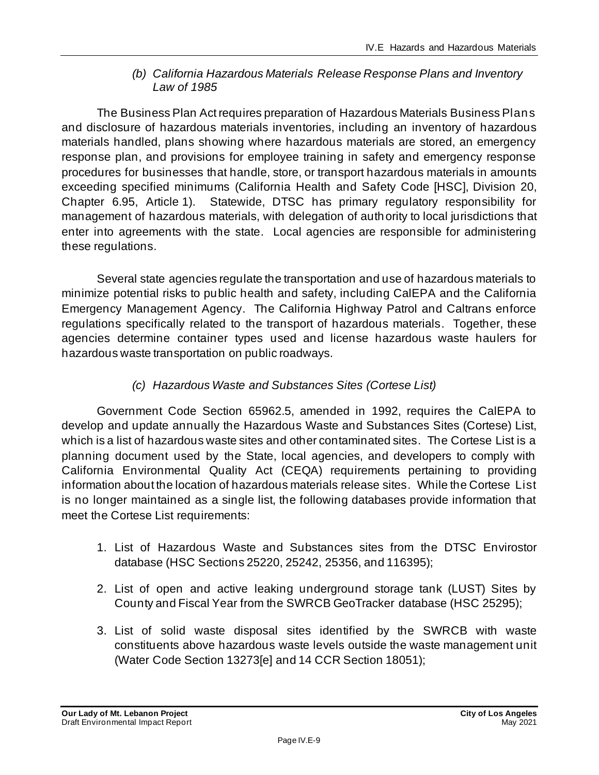#### *(b) California Hazardous Materials Release Response Plans and Inventory Law of 1985*

The Business Plan Act requires preparation of Hazardous Materials Business Plans and disclosure of hazardous materials inventories, including an inventory of hazardous materials handled, plans showing where hazardous materials are stored, an emergency response plan, and provisions for employee training in safety and emergency response procedures for businesses that handle, store, or transport hazardous materials in amounts exceeding specified minimums (California Health and Safety Code [HSC], Division 20, Chapter 6.95, Article 1). Statewide, DTSC has primary regulatory responsibility for management of hazardous materials, with delegation of authority to local jurisdictions that enter into agreements with the state. Local agencies are responsible for administering these regulations.

Several state agencies regulate the transportation and use of hazardous materials to minimize potential risks to public health and safety, including CalEPA and the California Emergency Management Agency. The California Highway Patrol and Caltrans enforce regulations specifically related to the transport of hazardous materials. Together, these agencies determine container types used and license hazardous waste haulers for hazardous waste transportation on public roadways.

# *(c) Hazardous Waste and Substances Sites (Cortese List)*

Government Code Section 65962.5, amended in 1992, requires the CalEPA to develop and update annually the Hazardous Waste and Substances Sites (Cortese) List, which is a list of hazardous waste sites and other contaminated sites. The Cortese List is a planning document used by the State, local agencies, and developers to comply with California Environmental Quality Act (CEQA) requirements pertaining to providing information about the location of hazardous materials release sites. While the Cortese List is no longer maintained as a single list, the following databases provide information that meet the Cortese List requirements:

- 1. List of Hazardous Waste and Substances sites from the DTSC Envirostor database (HSC Sections 25220, 25242, 25356, and 116395);
- 2. List of open and active leaking underground storage tank (LUST) Sites by County and Fiscal Year from the SWRCB GeoTracker database (HSC 25295);
- 3. List of solid waste disposal sites identified by the SWRCB with waste constituents above hazardous waste levels outside the waste management unit (Water Code Section 13273[e] and 14 CCR Section 18051);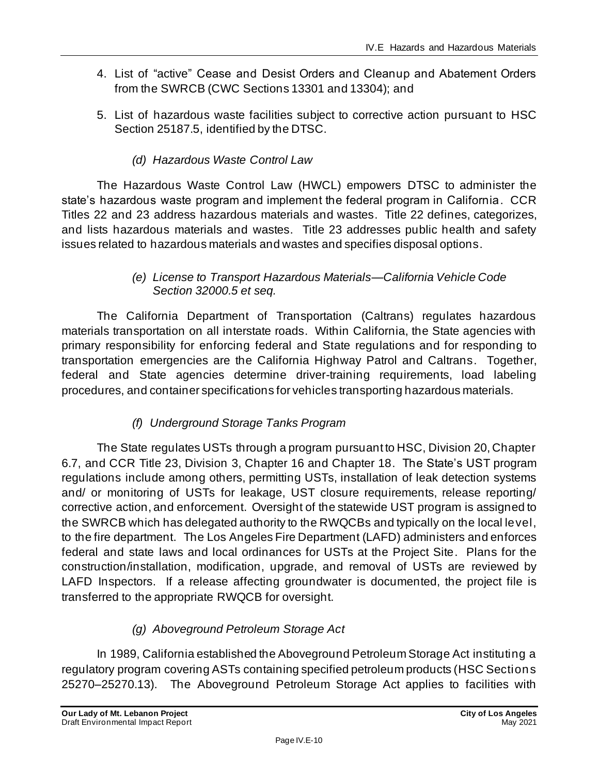- 4. List of "active" Cease and Desist Orders and Cleanup and Abatement Orders from the SWRCB (CWC Sections 13301 and 13304); and
- 5. List of hazardous waste facilities subject to corrective action pursuant to HSC Section 25187.5, identified by the DTSC.
	- *(d) Hazardous Waste Control Law*

The Hazardous Waste Control Law (HWCL) empowers DTSC to administer the state's hazardous waste program and implement the federal program in California. CCR Titles 22 and 23 address hazardous materials and wastes. Title 22 defines, categorizes, and lists hazardous materials and wastes. Title 23 addresses public health and safety issues related to hazardous materials and wastes and specifies disposal options.

## *(e) License to Transport Hazardous Materials—California Vehicle Code Section 32000.5 et seq.*

The California Department of Transportation (Caltrans) regulates hazardous materials transportation on all interstate roads. Within California, the State agencies with primary responsibility for enforcing federal and State regulations and for responding to transportation emergencies are the California Highway Patrol and Caltrans. Together, federal and State agencies determine driver-training requirements, load labeling procedures, and container specifications for vehicles transporting hazardous materials.

# *(f) Underground Storage Tanks Program*

The State regulates USTs through a program pursuant to HSC, Division 20, Chapter 6.7, and CCR Title 23, Division 3, Chapter 16 and Chapter 18. The State's UST program regulations include among others, permitting USTs, installation of leak detection systems and/ or monitoring of USTs for leakage, UST closure requirements, release reporting/ corrective action, and enforcement. Oversight of the statewide UST program is assigned to the SWRCB which has delegated authority to the RWQCBs and typically on the local level, to the fire department. The Los Angeles Fire Department (LAFD) administers and enforces federal and state laws and local ordinances for USTs at the Project Site. Plans for the construction/installation, modification, upgrade, and removal of USTs are reviewed by LAFD Inspectors. If a release affecting groundwater is documented, the project file is transferred to the appropriate RWQCB for oversight.

# *(g) Aboveground Petroleum Storage Act*

In 1989, California established the Aboveground Petroleum Storage Act instituting a regulatory program covering ASTs containing specified petroleum products (HSC Sections 25270–25270.13). The Aboveground Petroleum Storage Act applies to facilities with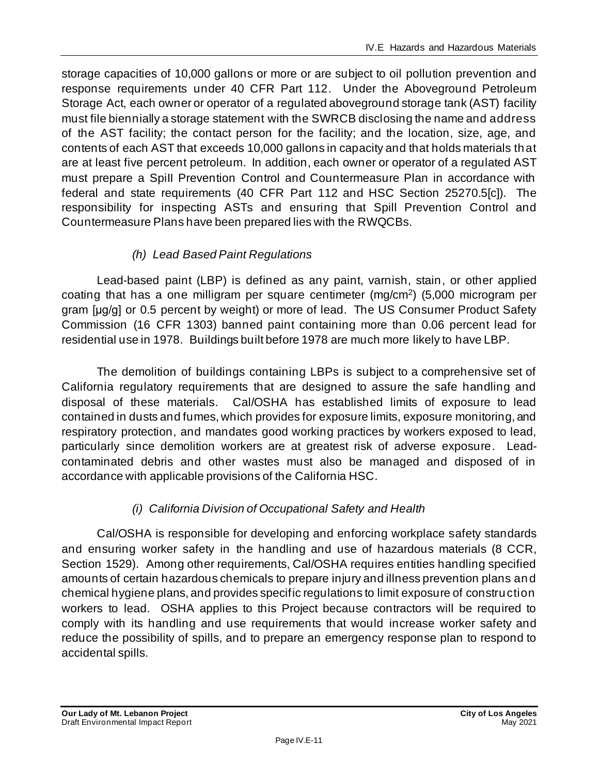storage capacities of 10,000 gallons or more or are subject to oil pollution prevention and response requirements under 40 CFR Part 112. Under the Aboveground Petroleum Storage Act, each owner or operator of a regulated aboveground storage tank (AST) facility must file biennially a storage statement with the SWRCB disclosing the name and address of the AST facility; the contact person for the facility; and the location, size, age, and contents of each AST that exceeds 10,000 gallons in capacity and that holds materials that are at least five percent petroleum. In addition, each owner or operator of a regulated AST must prepare a SpiII Prevention Control and Countermeasure Plan in accordance with federal and state requirements (40 CFR Part 112 and HSC Section 25270.5[c]). The responsibility for inspecting ASTs and ensuring that Spill Prevention Control and Countermeasure Plans have been prepared lies with the RWQCBs.

# *(h) Lead Based Paint Regulations*

Lead-based paint (LBP) is defined as any paint, varnish, stain, or other applied coating that has a one milligram per square centimeter (mg/cm<sup>2</sup> ) (5,000 microgram per gram [μg/g] or 0.5 percent by weight) or more of lead. The US Consumer Product Safety Commission (16 CFR 1303) banned paint containing more than 0.06 percent lead for residential use in 1978. Buildings built before 1978 are much more likely to have LBP.

The demolition of buildings containing LBPs is subject to a comprehensive set of California regulatory requirements that are designed to assure the safe handling and disposal of these materials. Cal/OSHA has established limits of exposure to lead contained in dusts and fumes, which provides for exposure limits, exposure monitoring, and respiratory protection, and mandates good working practices by workers exposed to lead, particularly since demolition workers are at greatest risk of adverse exposure. Leadcontaminated debris and other wastes must also be managed and disposed of in accordance with applicable provisions of the California HSC.

# *(i) California Division of Occupational Safety and Health*

Cal/OSHA is responsible for developing and enforcing workplace safety standards and ensuring worker safety in the handling and use of hazardous materials (8 CCR, Section 1529). Among other requirements, Cal/OSHA requires entities handling specified amounts of certain hazardous chemicals to prepare injury and illness prevention plans and chemical hygiene plans, and provides specific regulations to limit exposure of construction workers to lead. OSHA applies to this Project because contractors will be required to comply with its handling and use requirements that would increase worker safety and reduce the possibility of spills, and to prepare an emergency response plan to respond to accidental spills.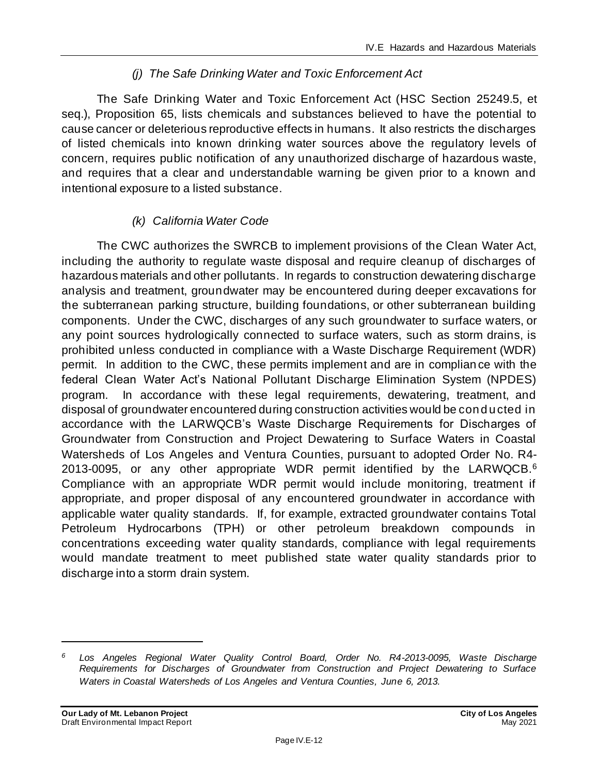## *(j) The Safe Drinking Water and Toxic Enforcement Act*

The Safe Drinking Water and Toxic Enforcement Act (HSC Section 25249.5, et seq.), Proposition 65, lists chemicals and substances believed to have the potential to cause cancer or deleterious reproductive effects in humans. It also restricts the discharges of listed chemicals into known drinking water sources above the regulatory levels of concern, requires public notification of any unauthorized discharge of hazardous waste, and requires that a clear and understandable warning be given prior to a known and intentional exposure to a listed substance.

## *(k) California Water Code*

The CWC authorizes the SWRCB to implement provisions of the Clean Water Act, including the authority to regulate waste disposal and require cleanup of discharges of hazardous materials and other pollutants. In regards to construction dewatering discharge analysis and treatment, groundwater may be encountered during deeper excavations for the subterranean parking structure, building foundations, or other subterranean building components. Under the CWC, discharges of any such groundwater to surface waters, or any point sources hydrologically connected to surface waters, such as storm drains, is prohibited unless conducted in compliance with a Waste Discharge Requirement (WDR) permit. In addition to the CWC, these permits implement and are in complian ce with the federal Clean Water Act's National Pollutant Discharge Elimination System (NPDES) program. In accordance with these legal requirements, dewatering, treatment, and disposal of groundwater encountered during construction activities would be cond ucted in accordance with the LARWQCB's Waste Discharge Requirements for Discharges of Groundwater from Construction and Project Dewatering to Surface Waters in Coastal Watersheds of Los Angeles and Ventura Counties, pursuant to adopted Order No. R4- 2013-0095, or any other appropriate WDR permit identified by the LARWQCB.<sup>6</sup> Compliance with an appropriate WDR permit would include monitoring, treatment if appropriate, and proper disposal of any encountered groundwater in accordance with applicable water quality standards. If, for example, extracted groundwater contains Total Petroleum Hydrocarbons (TPH) or other petroleum breakdown compounds in concentrations exceeding water quality standards, compliance with legal requirements would mandate treatment to meet published state water quality standards prior to discharge into a storm drain system.

*<sup>6</sup> Los Angeles Regional Water Quality Control Board, Order No. R4-2013-0095, Waste Discharge Requirements for Discharges of Groundwater from Construction and Project Dewatering to Surface Waters in Coastal Watersheds of Los Angeles and Ventura Counties, June 6, 2013.*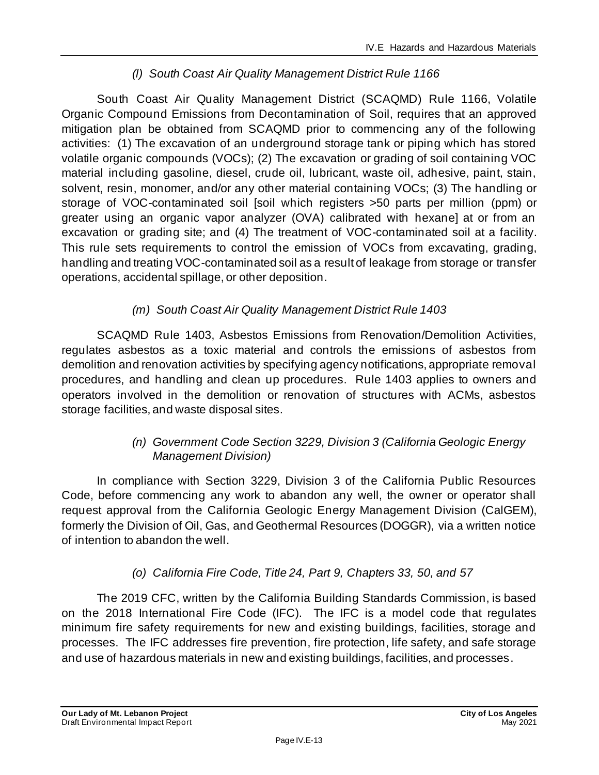# *(l) South Coast Air Quality Management District Rule 1166*

South Coast Air Quality Management District (SCAQMD) Rule 1166, Volatile Organic Compound Emissions from Decontamination of Soil, requires that an approved mitigation plan be obtained from SCAQMD prior to commencing any of the following activities: (1) The excavation of an underground storage tank or piping which has stored volatile organic compounds (VOCs); (2) The excavation or grading of soil containing VOC material including gasoline, diesel, crude oil, lubricant, waste oil, adhesive, paint, stain, solvent, resin, monomer, and/or any other material containing VOCs; (3) The handling or storage of VOC-contaminated soil [soil which registers >50 parts per million (ppm) or greater using an organic vapor analyzer (OVA) calibrated with hexane] at or from an excavation or grading site; and (4) The treatment of VOC-contaminated soil at a facility. This rule sets requirements to control the emission of VOCs from excavating, grading, handling and treating VOC-contaminated soil as a result of leakage from storage or transfer operations, accidental spillage, or other deposition.

# *(m) South Coast Air Quality Management District Rule 1403*

SCAQMD Rule 1403, Asbestos Emissions from Renovation/Demolition Activities, regulates asbestos as a toxic material and controls the emissions of asbestos from demolition and renovation activities by specifying agency notifications, appropriate removal procedures, and handling and clean up procedures. Rule 1403 applies to owners and operators involved in the demolition or renovation of structures with ACMs, asbestos storage facilities, and waste disposal sites.

# *(n) Government Code Section 3229, Division 3 (California Geologic Energy Management Division)*

In compliance with Section 3229, Division 3 of the California Public Resources Code, before commencing any work to abandon any well, the owner or operator shall request approval from the California Geologic Energy Management Division (CalGEM), formerly the Division of Oil, Gas, and Geothermal Resources (DOGGR), via a written notice of intention to abandon the well.

# *(o) California Fire Code, Title 24, Part 9, Chapters 33, 50, and 57*

The 2019 CFC, written by the California Building Standards Commission, is based on the 2018 International Fire Code (IFC). The IFC is a model code that regulates minimum fire safety requirements for new and existing buildings, facilities, storage and processes. The IFC addresses fire prevention, fire protection, life safety, and safe storage and use of hazardous materials in new and existing buildings, facilities, and processes.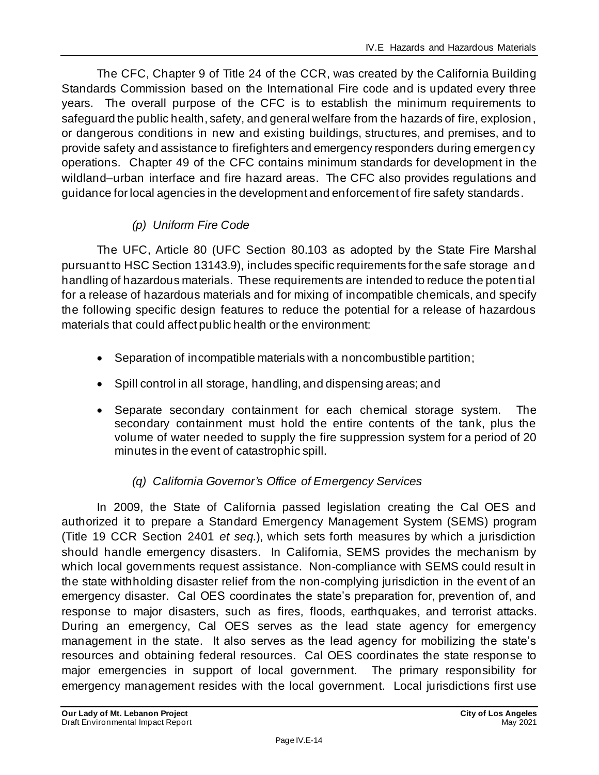The CFC, Chapter 9 of Title 24 of the CCR, was created by the California Building Standards Commission based on the International Fire code and is updated every three years. The overall purpose of the CFC is to establish the minimum requirements to safeguard the public health, safety, and general welfare from the hazards of fire, explosion, or dangerous conditions in new and existing buildings, structures, and premises, and to provide safety and assistance to firefighters and emergency responders during emergency operations. Chapter 49 of the CFC contains minimum standards for development in the wildland–urban interface and fire hazard areas. The CFC also provides regulations and guidance for local agencies in the development and enforcement of fire safety standards.

# *(p) Uniform Fire Code*

The UFC, Article 80 (UFC Section 80.103 as adopted by the State Fire Marshal pursuant to HSC Section 13143.9), includes specific requirements for the safe storage and handling of hazardous materials. These requirements are intended to reduce the potential for a release of hazardous materials and for mixing of incompatible chemicals, and specify the following specific design features to reduce the potential for a release of hazardous materials that could affect public health or the environment:

- Separation of incompatible materials with a noncombustible partition;
- Spill control in all storage, handling, and dispensing areas; and
- Separate secondary containment for each chemical storage system. The secondary containment must hold the entire contents of the tank, plus the volume of water needed to supply the fire suppression system for a period of 20 minutes in the event of catastrophic spill.

# *(q) California Governor's Office of Emergency Services*

In 2009, the State of California passed legislation creating the Cal OES and authorized it to prepare a Standard Emergency Management System (SEMS) program (Title 19 CCR Section 2401 *et seq.*), which sets forth measures by which a jurisdiction should handle emergency disasters. In California, SEMS provides the mechanism by which local governments request assistance. Non-compliance with SEMS could result in the state withholding disaster relief from the non-complying jurisdiction in the event of an emergency disaster. Cal OES coordinates the state's preparation for, prevention of, and response to major disasters, such as fires, floods, earthquakes, and terrorist attacks. During an emergency, Cal OES serves as the lead state agency for emergency management in the state. It also serves as the lead agency for mobilizing the state's resources and obtaining federal resources. Cal OES coordinates the state response to major emergencies in support of local government. The primary responsibility for emergency management resides with the local government. Local jurisdictions first use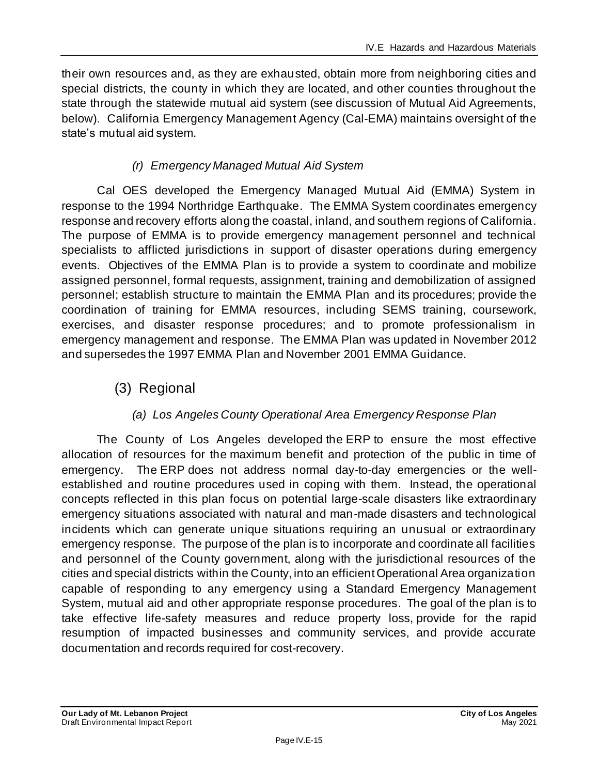their own resources and, as they are exhausted, obtain more from neighboring cities and special districts, the county in which they are located, and other counties throughout the state through the statewide mutual aid system (see discussion of Mutual Aid Agreements, below). California Emergency Management Agency (Cal-EMA) maintains oversight of the state's mutual aid system.

# *(r) Emergency Managed Mutual Aid System*

Cal OES developed the Emergency Managed Mutual Aid (EMMA) System in response to the 1994 Northridge Earthquake. The EMMA System coordinates emergency response and recovery efforts along the coastal, inland, and southern regions of California. The purpose of EMMA is to provide emergency management personnel and technical specialists to afflicted jurisdictions in support of disaster operations during emergency events. Objectives of the EMMA Plan is to provide a system to coordinate and mobilize assigned personnel, formal requests, assignment, training and demobilization of assigned personnel; establish structure to maintain the EMMA Plan and its procedures; provide the coordination of training for EMMA resources, including SEMS training, coursework, exercises, and disaster response procedures; and to promote professionalism in emergency management and response. The EMMA Plan was updated in November 2012 and supersedes the 1997 EMMA Plan and November 2001 EMMA Guidance.

(3) Regional

## *(a) Los Angeles County Operational Area Emergency Response Plan*

The County of Los Angeles developed the ERP to ensure the most effective allocation of resources for the maximum benefit and protection of the public in time of emergency. The ERP does not address normal day-to-day emergencies or the wellestablished and routine procedures used in coping with them. Instead, the operational concepts reflected in this plan focus on potential large-scale disasters like extraordinary emergency situations associated with natural and man-made disasters and technological incidents which can generate unique situations requiring an unusual or extraordinary emergency response. The purpose of the plan is to incorporate and coordinate all facilities and personnel of the County government, along with the jurisdictional resources of the cities and special districts within the County, into an efficient Operational Area organization capable of responding to any emergency using a Standard Emergency Management System, mutual aid and other appropriate response procedures. The goal of the plan is to take effective life-safety measures and reduce property loss, provide for the rapid resumption of impacted businesses and community services, and provide accurate documentation and records required for cost-recovery.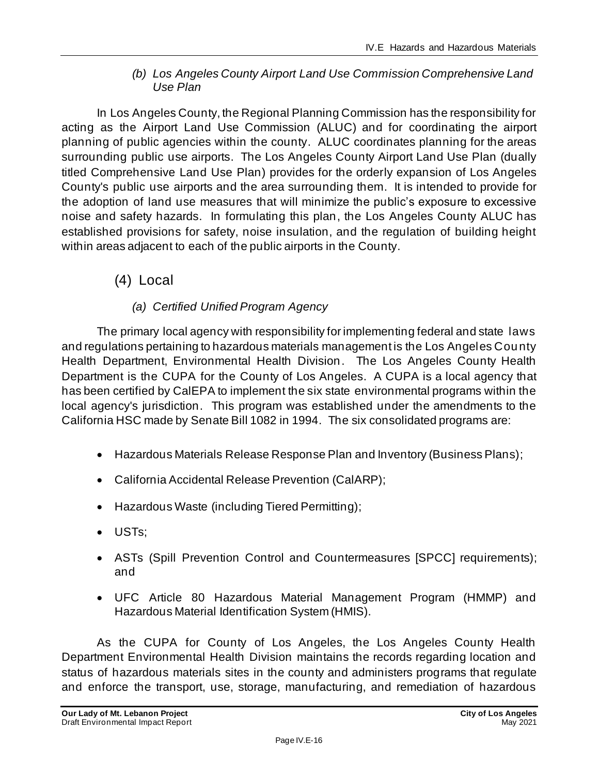#### *(b) Los Angeles County Airport Land Use Commission Comprehensive Land Use Plan*

In Los Angeles County, the Regional Planning Commission has the responsibility for acting as the Airport Land Use Commission (ALUC) and for coordinating the airport planning of public agencies within the county. ALUC coordinates planning for the areas surrounding public use airports. The Los Angeles County Airport Land Use Plan (dually titled Comprehensive Land Use Plan) provides for the orderly expansion of Los Angeles County's public use airports and the area surrounding them. It is intended to provide for the adoption of land use measures that will minimize the public's exposure to excessive noise and safety hazards. In formulating this plan, the Los Angeles County ALUC has established provisions for safety, noise insulation, and the regulation of building height within areas adjacent to each of the public airports in the County.

# (4) Local

# *(a) Certified Unified Program Agency*

The primary local agency with responsibility for implementing federal and state laws and regulations pertaining to hazardous materials management is the Los Angeles County Health Department, Environmental Health Division. The Los Angeles County Health Department is the CUPA for the County of Los Angeles. A CUPA is a local agency that has been certified by CalEPA to implement the six state environmental programs within the local agency's jurisdiction. This program was established under the amendments to the California HSC made by Senate Bill 1082 in 1994. The six consolidated programs are:

- Hazardous Materials Release Response Plan and Inventory (Business Plans);
- California Accidental Release Prevention (CalARP);
- Hazardous Waste (including Tiered Permitting);
- USTs;
- ASTs (Spill Prevention Control and Countermeasures [SPCC] requirements); and
- UFC Article 80 Hazardous Material Management Program (HMMP) and Hazardous Material Identification System (HMIS).

As the CUPA for County of Los Angeles, the Los Angeles County Health Department Environmental Health Division maintains the records regarding location and status of hazardous materials sites in the county and administers programs that regulate and enforce the transport, use, storage, manufacturing, and remediation of hazardous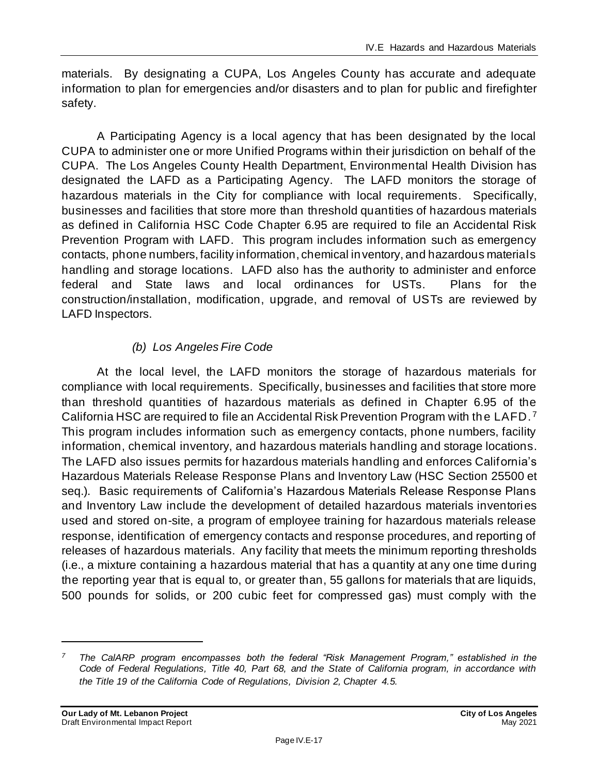materials. By designating a CUPA, Los Angeles County has accurate and adequate information to plan for emergencies and/or disasters and to plan for public and firefighter safety.

A Participating Agency is a local agency that has been designated by the local CUPA to administer one or more Unified Programs within their jurisdiction on behalf of the CUPA. The Los Angeles County Health Department, Environmental Health Division has designated the LAFD as a Participating Agency. The LAFD monitors the storage of hazardous materials in the City for compliance with local requirements. Specifically, businesses and facilities that store more than threshold quantities of hazardous materials as defined in California HSC Code Chapter 6.95 are required to file an Accidental Risk Prevention Program with LAFD. This program includes information such as emergency contacts, phone numbers, facility information, chemical inventory, and hazardous materials handling and storage locations. LAFD also has the authority to administer and enforce federal and State laws and local ordinances for USTs. Plans for the construction/installation, modification, upgrade, and removal of USTs are reviewed by LAFD Inspectors.

# *(b) Los Angeles Fire Code*

At the local level, the LAFD monitors the storage of hazardous materials for compliance with local requirements. Specifically, businesses and facilities that store more than threshold quantities of hazardous materials as defined in Chapter 6.95 of the California HSC are required to file an Accidental Risk Prevention Program with the LAFD. <sup>7</sup> This program includes information such as emergency contacts, phone numbers, facility information, chemical inventory, and hazardous materials handling and storage locations. The LAFD also issues permits for hazardous materials handling and enforces California's Hazardous Materials Release Response Plans and Inventory Law (HSC Section 25500 et seq.). Basic requirements of California's Hazardous Materials Release Response Plans and Inventory Law include the development of detailed hazardous materials inventories used and stored on-site, a program of employee training for hazardous materials release response, identification of emergency contacts and response procedures, and reporting of releases of hazardous materials. Any facility that meets the minimum reporting thresholds (i.e., a mixture containing a hazardous material that has a quantity at any one time during the reporting year that is equal to, or greater than, 55 gallons for materials that are liquids, 500 pounds for solids, or 200 cubic feet for compressed gas) must comply with the

*<sup>7</sup> The CalARP program encompasses both the federal "Risk Management Program," established in the Code of Federal Regulations, Title 40, Part 68, and the State of California program, in accordance with the Title 19 of the California Code of Regulations, Division 2, Chapter 4.5.*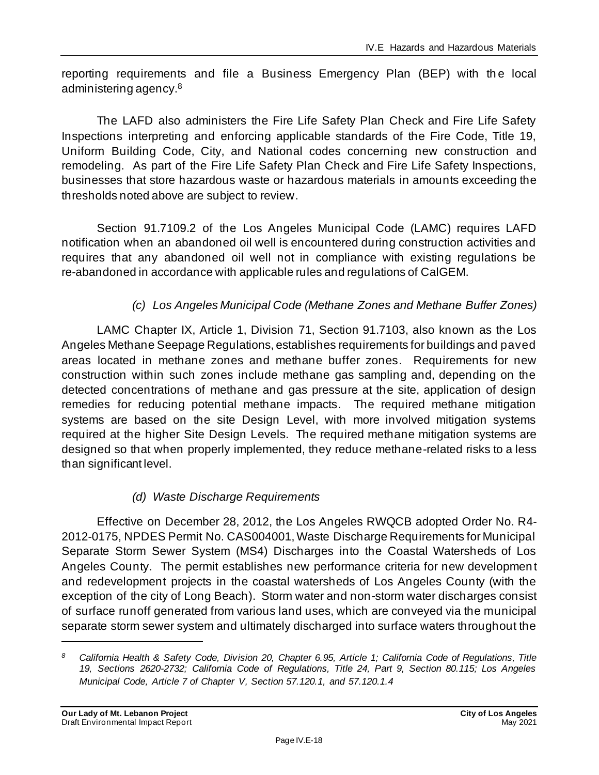reporting requirements and file a Business Emergency Plan (BEP) with the local administering agency.<sup>8</sup>

The LAFD also administers the Fire Life Safety Plan Check and Fire Life Safety Inspections interpreting and enforcing applicable standards of the Fire Code, Title 19, Uniform Building Code, City, and National codes concerning new construction and remodeling. As part of the Fire Life Safety Plan Check and Fire Life Safety Inspections, businesses that store hazardous waste or hazardous materials in amounts exceeding the thresholds noted above are subject to review.

Section 91.7109.2 of the Los Angeles Municipal Code (LAMC) requires LAFD notification when an abandoned oil well is encountered during construction activities and requires that any abandoned oil well not in compliance with existing regulations be re-abandoned in accordance with applicable rules and regulations of CalGEM.

# *(c) Los Angeles Municipal Code (Methane Zones and Methane Buffer Zones)*

LAMC Chapter IX, Article 1, Division 71, Section 91.7103, also known as the Los Angeles Methane Seepage Regulations, establishes requirements for buildings and paved areas located in methane zones and methane buffer zones. Requirements for new construction within such zones include methane gas sampling and, depending on the detected concentrations of methane and gas pressure at the site, application of design remedies for reducing potential methane impacts. The required methane mitigation systems are based on the site Design Level, with more involved mitigation systems required at the higher Site Design Levels. The required methane mitigation systems are designed so that when properly implemented, they reduce methane-related risks to a less than significant level.

## *(d) Waste Discharge Requirements*

Effective on December 28, 2012, the Los Angeles RWQCB adopted Order No. R4- 2012-0175, NPDES Permit No. CAS004001, Waste Discharge Requirements for Municipal Separate Storm Sewer System (MS4) Discharges into the Coastal Watersheds of Los Angeles County. The permit establishes new performance criteria for new developmen t and redevelopment projects in the coastal watersheds of Los Angeles County (with the exception of the city of Long Beach). Storm water and non-storm water discharges consist of surface runoff generated from various land uses, which are conveyed via the municipal separate storm sewer system and ultimately discharged into surface waters throughout the

*<sup>8</sup> California Health & Safety Code, Division 20, Chapter 6.95, Article 1; California Code of Regulations, Title 19, Sections 2620-2732; California Code of Regulations, Title 24, Part 9, Section 80.115; Los Angeles Municipal Code, Article 7 of Chapter V, Section 57.120.1, and 57.120.1.4*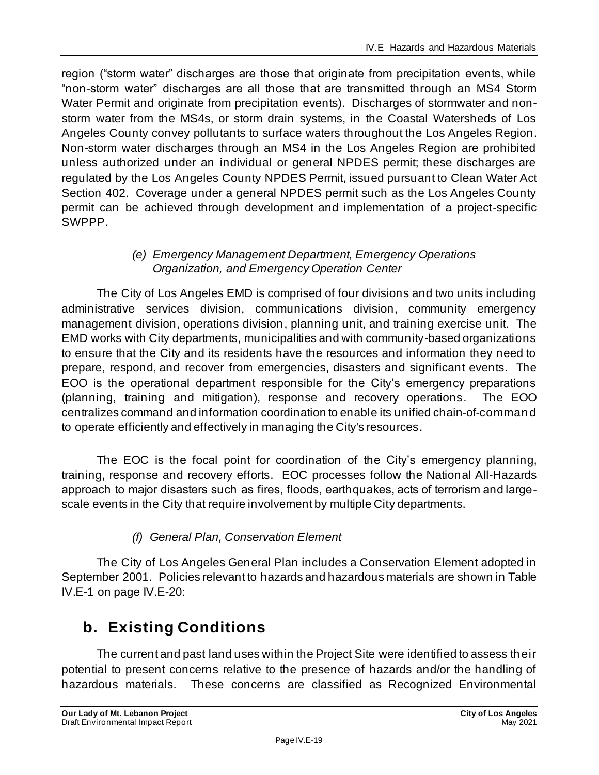region ("storm water" discharges are those that originate from precipitation events, while "non-storm water" discharges are all those that are transmitted through an MS4 Storm Water Permit and originate from precipitation events). Discharges of stormwater and nonstorm water from the MS4s, or storm drain systems, in the Coastal Watersheds of Los Angeles County convey pollutants to surface waters throughout the Los Angeles Region. Non-storm water discharges through an MS4 in the Los Angeles Region are prohibited unless authorized under an individual or general NPDES permit; these discharges are regulated by the Los Angeles County NPDES Permit, issued pursuant to Clean Water Act Section 402. Coverage under a general NPDES permit such as the Los Angeles County permit can be achieved through development and implementation of a project-specific SWPPP.

## *(e) Emergency Management Department, Emergency Operations Organization, and Emergency Operation Center*

The City of Los Angeles EMD is comprised of four divisions and two units including administrative services division, communications division, community emergency management division, operations division, planning unit, and training exercise unit. The EMD works with City departments, municipalities and with community-based organizations to ensure that the City and its residents have the resources and information they need to prepare, respond, and recover from emergencies, disasters and significant events. The EOO is the operational department responsible for the City's emergency preparations (planning, training and mitigation), response and recovery operations. The EOO centralizes command and information coordination to enable its unified chain-of-command to operate efficiently and effectively in managing the City's resources.

The EOC is the focal point for coordination of the City's emergency planning, training, response and recovery efforts. EOC processes follow the National All-Hazards approach to major disasters such as fires, floods, earthquakes, acts of terrorism and largescale events in the City that require involvement by multiple City departments.

# *(f) General Plan, Conservation Element*

The City of Los Angeles General Plan includes a Conservation Element adopted in September 2001. Policies relevant to hazards and hazardous materials are shown in Table IV.E-1 on page IV.E-20:

# **b. Existing Conditions**

The current and past land uses within the Project Site were identified to assess their potential to present concerns relative to the presence of hazards and/or the handling of hazardous materials. These concerns are classified as Recognized Environmental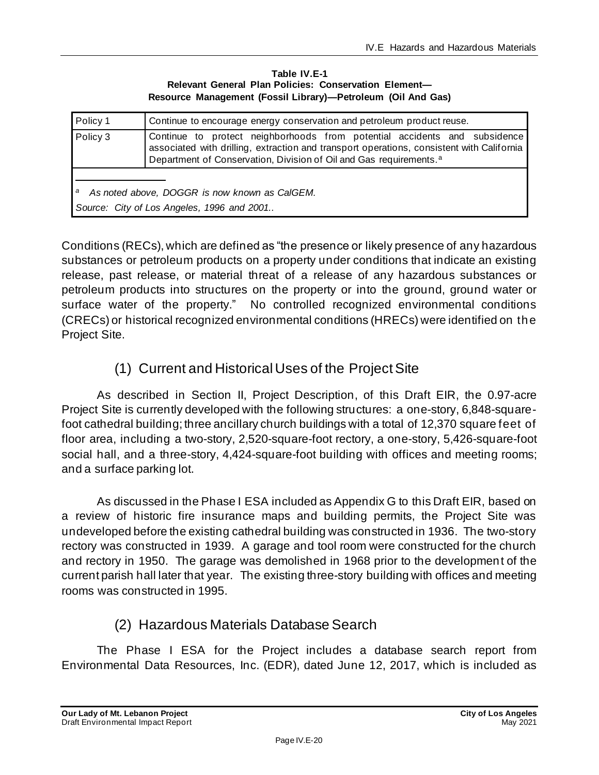#### **Table IV.E-1 Relevant General Plan Policies: Conservation Element— Resource Management (Fossil Library)—Petroleum (Oil And Gas)**

| Policy 1                                                                                         | Continue to encourage energy conservation and petroleum product reuse.                                                                                                                                                                                   |
|--------------------------------------------------------------------------------------------------|----------------------------------------------------------------------------------------------------------------------------------------------------------------------------------------------------------------------------------------------------------|
| Policy 3                                                                                         | Continue to protect neighborhoods from potential accidents and subsidence<br>associated with drilling, extraction and transport operations, consistent with California<br>Department of Conservation, Division of Oil and Gas requirements. <sup>a</sup> |
| As noted above, DOGGR is now known as CalGEM.<br>а<br>Source: City of Los Angeles, 1996 and 2001 |                                                                                                                                                                                                                                                          |

Conditions (RECs), which are defined as "the presence or likely presence of any hazardous substances or petroleum products on a property under conditions that indicate an existing release, past release, or material threat of a release of any hazardous substances or petroleum products into structures on the property or into the ground, ground water or surface water of the property." No controlled recognized environmental conditions (CRECs) or historical recognized environmental conditions (HRECs) were identified on the Project Site.

# (1) Current and Historical Uses of the ProjectSite

As described in Section II, Project Description, of this Draft EIR, the 0.97-acre Project Site is currently developed with the following structures: a one-story, 6,848-squarefoot cathedral building; three ancillary church buildings with a total of 12,370 square feet of floor area, including a two-story, 2,520-square-foot rectory, a one-story, 5,426-square-foot social hall, and a three-story, 4,424-square-foot building with offices and meeting rooms; and a surface parking lot.

As discussed in the Phase I ESA included as Appendix G to this Draft EIR, based on a review of historic fire insurance maps and building permits, the Project Site was undeveloped before the existing cathedral building was constructed in 1936. The two-story rectory was constructed in 1939. A garage and tool room were constructed for the church and rectory in 1950. The garage was demolished in 1968 prior to the development of the current parish hall later that year. The existing three-story building with offices and meeting rooms was constructed in 1995.

# (2) Hazardous Materials Database Search

The Phase I ESA for the Project includes a database search report from Environmental Data Resources, Inc. (EDR), dated June 12, 2017, which is included as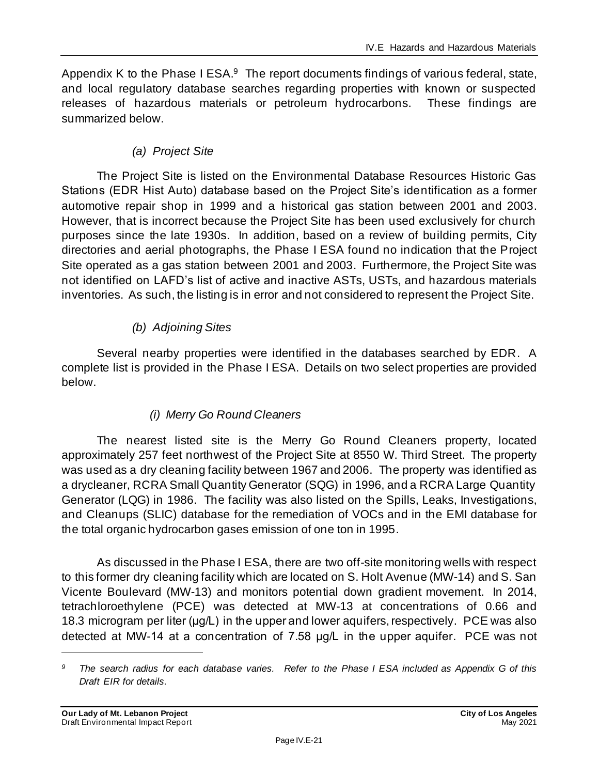Appendix K to the Phase I ESA.<sup>9</sup> The report documents findings of various federal, state, and local regulatory database searches regarding properties with known or suspected releases of hazardous materials or petroleum hydrocarbons. These findings are summarized below.

#### *(a) Project Site*

The Project Site is listed on the Environmental Database Resources Historic Gas Stations (EDR Hist Auto) database based on the Project Site's identification as a former automotive repair shop in 1999 and a historical gas station between 2001 and 2003. However, that is incorrect because the Project Site has been used exclusively for church purposes since the late 1930s. In addition, based on a review of building permits, City directories and aerial photographs, the Phase I ESA found no indication that the Project Site operated as a gas station between 2001 and 2003. Furthermore, the Project Site was not identified on LAFD's list of active and inactive ASTs, USTs, and hazardous materials inventories. As such, the listing is in error and not considered to represent the Project Site.

#### *(b) Adjoining Sites*

Several nearby properties were identified in the databases searched by EDR. A complete list is provided in the Phase I ESA. Details on two select properties are provided below.

## *(i) Merry Go Round Cleaners*

The nearest listed site is the Merry Go Round Cleaners property, located approximately 257 feet northwest of the Project Site at 8550 W. Third Street. The property was used as a dry cleaning facility between 1967 and 2006. The property was identified as a drycleaner, RCRA Small Quantity Generator (SQG) in 1996, and a RCRA Large Quantity Generator (LQG) in 1986. The facility was also listed on the Spills, Leaks, Investigations, and Cleanups (SLIC) database for the remediation of VOCs and in the EMI database for the total organic hydrocarbon gases emission of one ton in 1995.

As discussed in the Phase I ESA, there are two off-site monitoring wells with respect to this former dry cleaning facility which are located on S. Holt Avenue (MW-14) and S. San Vicente Boulevard (MW-13) and monitors potential down gradient movement. In 2014, tetrachloroethylene (PCE) was detected at MW-13 at concentrations of 0.66 and 18.3 microgram per liter (μg/L) in the upper and lower aquifers, respectively. PCE was also detected at MW-14 at a concentration of 7.58 μg/L in the upper aquifer. PCE was not

*<sup>9</sup> The search radius for each database varies. Refer to the Phase I ESA included as Appendix G of this Draft EIR for details.*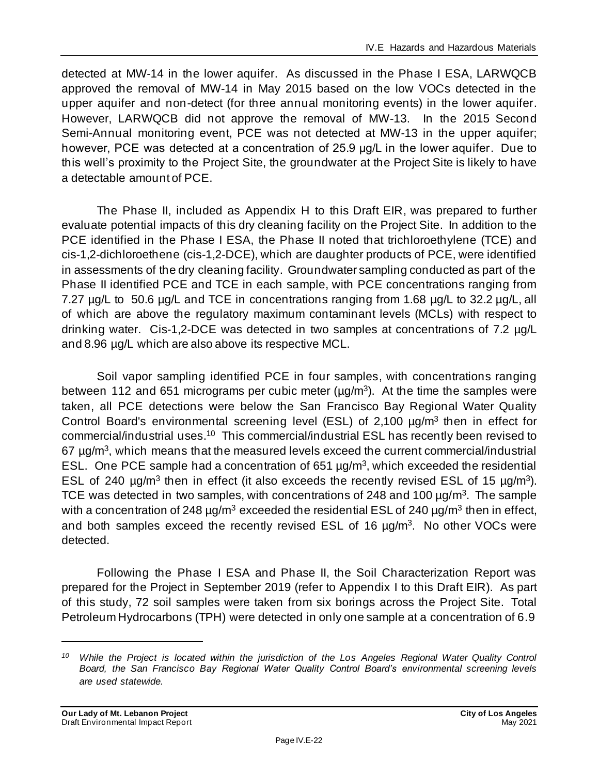detected at MW-14 in the lower aquifer. As discussed in the Phase I ESA, LARWQCB approved the removal of MW-14 in May 2015 based on the low VOCs detected in the upper aquifer and non-detect (for three annual monitoring events) in the lower aquifer. However, LARWQCB did not approve the removal of MW-13. In the 2015 Second Semi-Annual monitoring event, PCE was not detected at MW-13 in the upper aquifer; however, PCE was detected at a concentration of 25.9 μg/L in the lower aquifer. Due to this well's proximity to the Project Site, the groundwater at the Project Site is likely to have a detectable amount of PCE.

The Phase II, included as Appendix H to this Draft EIR, was prepared to further evaluate potential impacts of this dry cleaning facility on the Project Site. In addition to the PCE identified in the Phase I ESA, the Phase II noted that trichloroethylene (TCE) and cis-1,2-dichloroethene (cis-1,2-DCE), which are daughter products of PCE, were identified in assessments of the dry cleaning facility. Groundwater sampling conducted as part of the Phase II identified PCE and TCE in each sample, with PCE concentrations ranging from 7.27 µg/L to 50.6 µg/L and TCE in concentrations ranging from 1.68 µg/L to 32.2 µg/L, all of which are above the regulatory maximum contaminant levels (MCLs) with respect to drinking water. Cis-1,2-DCE was detected in two samples at concentrations of 7.2 µg/L and 8.96 µg/L which are also above its respective MCL.

Soil vapor sampling identified PCE in four samples, with concentrations ranging between 112 and 651 micrograms per cubic meter ( $\mu$ g/m<sup>3</sup>). At the time the samples were taken, all PCE detections were below the San Francisco Bay Regional Water Quality Control Board's environmental screening level (ESL) of 2,100 µg/m<sup>3</sup> then in effect for commercial/industrial uses.<sup>10</sup> This commercial/industrial ESL has recently been revised to 67 µg/m<sup>3</sup>, which means that the measured levels exceed the current commercial/industrial ESL. One PCE sample had a concentration of 651  $\mu$ g/m<sup>3</sup>, which exceeded the residential ESL of 240  $\mu$ g/m<sup>3</sup> then in effect (it also exceeds the recently revised ESL of 15  $\mu$ g/m<sup>3</sup>). TCE was detected in two samples, with concentrations of 248 and 100  $\mu$ g/m<sup>3</sup>. The sample with a concentration of 248  $\mu$ g/m<sup>3</sup> exceeded the residential ESL of 240  $\mu$ g/m<sup>3</sup> then in effect, and both samples exceed the recently revised ESL of 16  $\mu$ g/m<sup>3</sup>. No other VOCs were detected.

Following the Phase I ESA and Phase II, the Soil Characterization Report was prepared for the Project in September 2019 (refer to Appendix I to this Draft EIR). As part of this study, 72 soil samples were taken from six borings across the Project Site. Total Petroleum Hydrocarbons (TPH) were detected in only one sample at a concentration of 6.9

*<sup>10</sup> While the Project is located within the jurisdiction of the Los Angeles Regional Water Quality Control Board, the San Francisco Bay Regional Water Quality Control Board's environmental screening levels are used statewide.*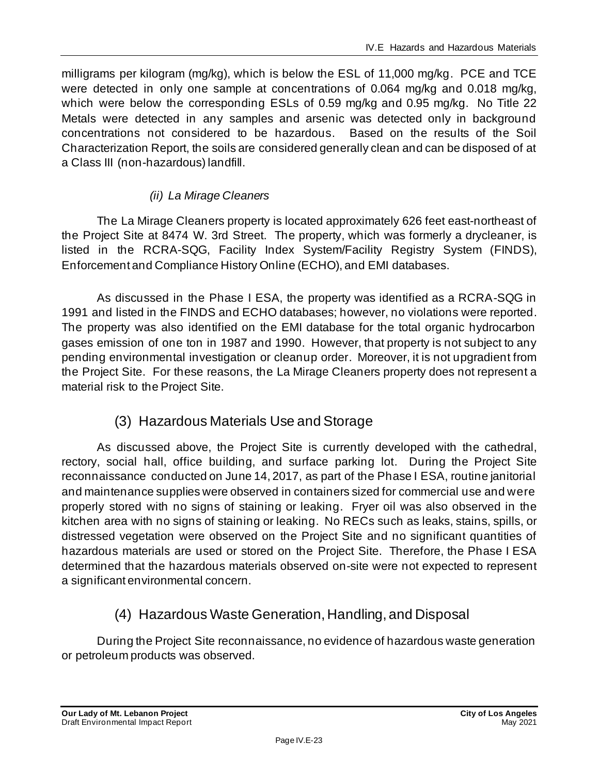milligrams per kilogram (mg/kg), which is below the ESL of 11,000 mg/kg. PCE and TCE were detected in only one sample at concentrations of 0.064 mg/kg and 0.018 mg/kg, which were below the corresponding ESLs of 0.59 mg/kg and 0.95 mg/kg. No Title 22 Metals were detected in any samples and arsenic was detected only in background concentrations not considered to be hazardous. Based on the results of the Soil Characterization Report, the soils are considered generally clean and can be disposed of at a Class III (non-hazardous) landfill.

#### *(ii) La Mirage Cleaners*

The La Mirage Cleaners property is located approximately 626 feet east-northeast of the Project Site at 8474 W. 3rd Street. The property, which was formerly a drycleaner, is listed in the RCRA-SQG, Facility Index System/Facility Registry System (FINDS), Enforcement and Compliance History Online (ECHO), and EMI databases.

As discussed in the Phase I ESA, the property was identified as a RCRA-SQG in 1991 and listed in the FINDS and ECHO databases; however, no violations were reported. The property was also identified on the EMI database for the total organic hydrocarbon gases emission of one ton in 1987 and 1990. However, that property is not subject to any pending environmental investigation or cleanup order. Moreover, it is not upgradient from the Project Site. For these reasons, the La Mirage Cleaners property does not represent a material risk to the Project Site.

# (3) Hazardous Materials Use and Storage

As discussed above, the Project Site is currently developed with the cathedral, rectory, social hall, office building, and surface parking lot. During the Project Site reconnaissance conducted on June 14, 2017, as part of the Phase I ESA, routine janitorial and maintenance supplies were observed in containers sized for commercial use and were properly stored with no signs of staining or leaking. Fryer oil was also observed in the kitchen area with no signs of staining or leaking. No RECs such as leaks, stains, spills, or distressed vegetation were observed on the Project Site and no significant quantities of hazardous materials are used or stored on the Project Site. Therefore, the Phase I ESA determined that the hazardous materials observed on-site were not expected to represent a significant environmental concern.

# (4) Hazardous Waste Generation, Handling, and Disposal

During the Project Site reconnaissance, no evidence of hazardous waste generation or petroleum products was observed.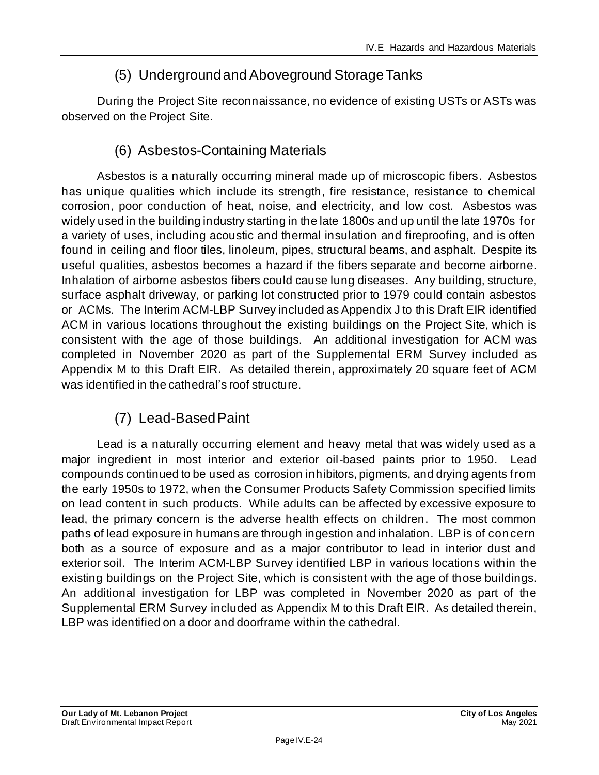# (5) Underground and Aboveground Storage Tanks

During the Project Site reconnaissance, no evidence of existing USTs or ASTs was observed on the Project Site.

# (6) Asbestos-Containing Materials

Asbestos is a naturally occurring mineral made up of microscopic fibers. Asbestos has unique qualities which include its strength, fire resistance, resistance to chemical corrosion, poor conduction of heat, noise, and electricity, and low cost. Asbestos was widely used in the building industry starting in the late 1800s and up until the late 1970s for a variety of uses, including acoustic and thermal insulation and fireproofing, and is often found in ceiling and floor tiles, linoleum, pipes, structural beams, and asphalt. Despite its useful qualities, asbestos becomes a hazard if the fibers separate and become airborne. Inhalation of airborne asbestos fibers could cause lung diseases. Any building, structure, surface asphalt driveway, or parking lot constructed prior to 1979 could contain asbestos or ACMs. The Interim ACM-LBP Survey included as Appendix J to this Draft EIR identified ACM in various locations throughout the existing buildings on the Project Site, which is consistent with the age of those buildings. An additional investigation for ACM was completed in November 2020 as part of the Supplemental ERM Survey included as Appendix M to this Draft EIR. As detailed therein, approximately 20 square feet of ACM was identified in the cathedral's roof structure.

# (7) Lead-Based Paint

Lead is a naturally occurring element and heavy metal that was widely used as a major ingredient in most interior and exterior oil-based paints prior to 1950. Lead compounds continued to be used as corrosion inhibitors, pigments, and drying agents from the early 1950s to 1972, when the Consumer Products Safety Commission specified limits on lead content in such products. While adults can be affected by excessive exposure to lead, the primary concern is the adverse health effects on children. The most common paths of lead exposure in humans are through ingestion and inhalation. LBP is of concern both as a source of exposure and as a major contributor to lead in interior dust and exterior soil. The Interim ACM-LBP Survey identified LBP in various locations within the existing buildings on the Project Site, which is consistent with the age of those buildings. An additional investigation for LBP was completed in November 2020 as part of the Supplemental ERM Survey included as Appendix M to this Draft EIR. As detailed therein, LBP was identified on a door and doorframe within the cathedral.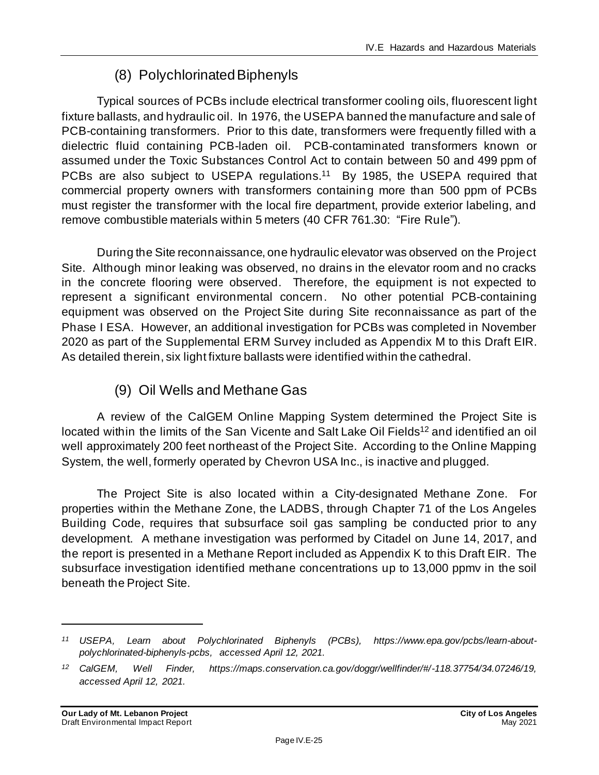# (8) Polychlorinated Biphenyls

Typical sources of PCBs include electrical transformer cooling oils, fluorescent light fixture ballasts, and hydraulic oil. In 1976, the USEPA banned the manufacture and sale of PCB-containing transformers. Prior to this date, transformers were frequently filled with a dielectric fluid containing PCB-laden oil. PCB-contaminated transformers known or assumed under the Toxic Substances Control Act to contain between 50 and 499 ppm of PCBs are also subject to USEPA regulations.<sup>11</sup> By 1985, the USEPA required that commercial property owners with transformers containing more than 500 ppm of PCBs must register the transformer with the local fire department, provide exterior labeling, and remove combustible materials within 5 meters (40 CFR 761.30: "Fire Rule").

During the Site reconnaissance, one hydraulic elevator was observed on the Project Site. Although minor leaking was observed, no drains in the elevator room and no cracks in the concrete flooring were observed. Therefore, the equipment is not expected to represent a significant environmental concern. No other potential PCB-containing equipment was observed on the Project Site during Site reconnaissance as part of the Phase I ESA. However, an additional investigation for PCBs was completed in November 2020 as part of the Supplemental ERM Survey included as Appendix M to this Draft EIR. As detailed therein, six light fixture ballasts were identified within the cathedral.

# (9) Oil Wells and Methane Gas

A review of the CalGEM Online Mapping System determined the Project Site is located within the limits of the San Vicente and Salt Lake Oil Fields<sup>12</sup> and identified an oil well approximately 200 feet northeast of the Project Site. According to the Online Mapping System, the well, formerly operated by Chevron USA Inc., is inactive and plugged.

The Project Site is also located within a City-designated Methane Zone. For properties within the Methane Zone, the LADBS, through Chapter 71 of the Los Angeles Building Code, requires that subsurface soil gas sampling be conducted prior to any development. A methane investigation was performed by Citadel on June 14, 2017, and the report is presented in a Methane Report included as Appendix K to this Draft EIR. The subsurface investigation identified methane concentrations up to 13,000 ppmv in the soil beneath the Project Site.

*<sup>11</sup> USEPA, Learn about Polychlorinated Biphenyls (PCBs), https://www.epa.gov/pcbs/learn-aboutpolychlorinated-biphenyls-pcbs, accessed April 12, 2021.*

*<sup>12</sup> CalGEM, Well Finder, https://maps.conservation.ca.gov/doggr/wellfinder/#/-118.37754/34.07246/19, accessed April 12, 2021.*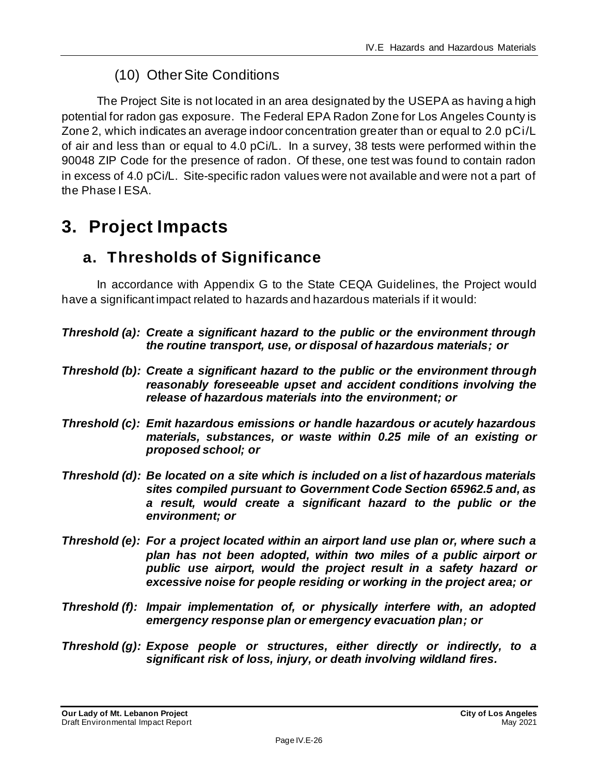# (10) Other Site Conditions

The Project Site is not located in an area designated by the USEPA as having a high potential for radon gas exposure. The Federal EPA Radon Zone for Los Angeles County is Zone 2, which indicates an average indoor concentration greater than or equal to 2.0 pCi/L of air and less than or equal to 4.0 pCi/L. In a survey, 38 tests were performed within the 90048 ZIP Code for the presence of radon. Of these, one test was found to contain radon in excess of 4.0 pCi/L. Site-specific radon values were not available and were not a part of the Phase I ESA.

# **3. Project Impacts**

# **a. Thresholds of Significance**

In accordance with Appendix G to the State CEQA Guidelines, the Project would have a significant impact related to hazards and hazardous materials if it would:

- *Threshold (a): Create a significant hazard to the public or the environment through the routine transport, use, or disposal of hazardous materials; or*
- *Threshold (b): Create a significant hazard to the public or the environment through reasonably foreseeable upset and accident conditions involving the release of hazardous materials into the environment; or*
- *Threshold (c): Emit hazardous emissions or handle hazardous or acutely hazardous materials, substances, or waste within 0.25 mile of an existing or proposed school; or*
- *Threshold (d): Be located on a site which is included on a list of hazardous materials sites compiled pursuant to Government Code Section 65962.5 and, as a result, would create a significant hazard to the public or the environment; or*
- *Threshold (e): For a project located within an airport land use plan or, where such a plan has not been adopted, within two miles of a public airport or public use airport, would the project result in a safety hazard or excessive noise for people residing or working in the project area; or*
- *Threshold (f): Impair implementation of, or physically interfere with, an adopted emergency response plan or emergency evacuation plan; or*
- *Threshold (g): Expose people or structures, either directly or indirectly, to a significant risk of loss, injury, or death involving wildland fires.*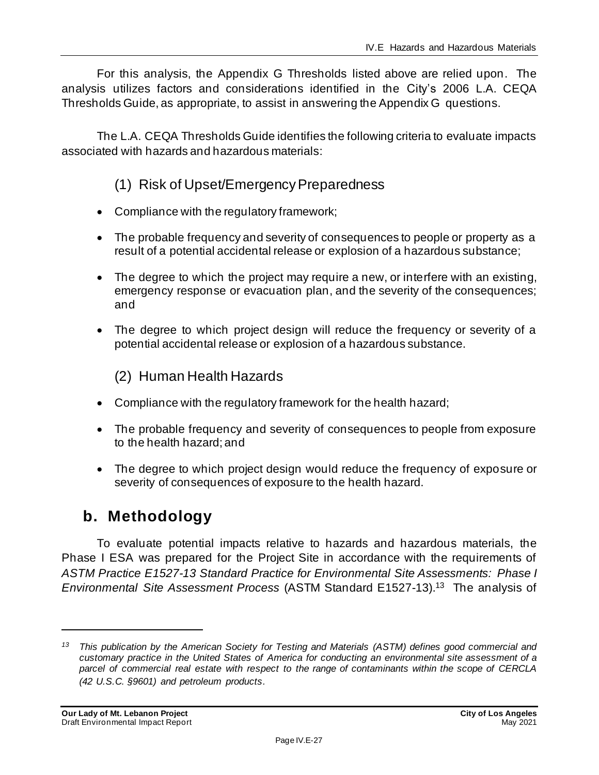For this analysis, the Appendix G Thresholds listed above are relied upon. The analysis utilizes factors and considerations identified in the City's 2006 L.A. CEQA Thresholds Guide, as appropriate, to assist in answering the Appendix G questions.

The L.A. CEQA Thresholds Guide identifies the following criteria to evaluate impacts associated with hazards and hazardous materials:

# (1) Risk of Upset/Emergency Preparedness

- Compliance with the regulatory framework;
- The probable frequency and severity of consequences to people or property as a result of a potential accidental release or explosion of a hazardous substance;
- The degree to which the project may require a new, or interfere with an existing, emergency response or evacuation plan, and the severity of the consequences; and
- The degree to which project design will reduce the frequency or severity of a potential accidental release or explosion of a hazardous substance.

(2) Human Health Hazards

- Compliance with the regulatory framework for the health hazard;
- The probable frequency and severity of consequences to people from exposure to the health hazard; and
- The degree to which project design would reduce the frequency of exposure or severity of consequences of exposure to the health hazard.

# **b. Methodology**

To evaluate potential impacts relative to hazards and hazardous materials, the Phase I ESA was prepared for the Project Site in accordance with the requirements of *ASTM Practice E1527-13 Standard Practice for Environmental Site Assessments: Phase I Environmental Site Assessment Process* (ASTM Standard E1527-13).<sup>13</sup> The analysis of

*<sup>13</sup> This publication by the American Society for Testing and Materials (ASTM) defines good commercial and customary practice in the United States of America for conducting an environmental site assessment of a parcel of commercial real estate with respect to the range of contaminants within the scope of CERCLA (42 U.S.C. §9601) and petroleum products.*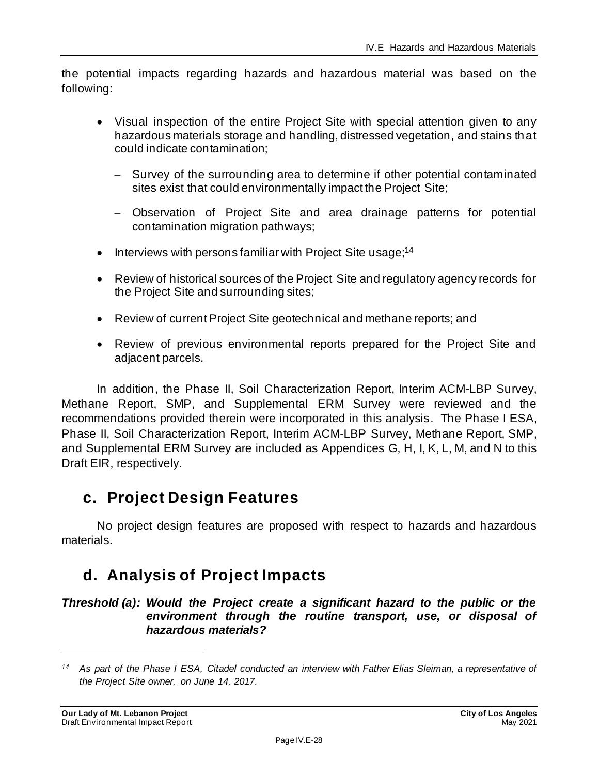the potential impacts regarding hazards and hazardous material was based on the following:

- Visual inspection of the entire Project Site with special attention given to any hazardous materials storage and handling, distressed vegetation, and stains that could indicate contamination;
	- Survey of the surrounding area to determine if other potential contaminated sites exist that could environmentally impact the Project Site;
	- Observation of Project Site and area drainage patterns for potential contamination migration pathways;
- Interviews with persons familiar with Project Site usage;<sup>14</sup>
- Review of historical sources of the Project Site and regulatory agency records for the Project Site and surrounding sites;
- Review of current Project Site geotechnical and methane reports; and
- Review of previous environmental reports prepared for the Project Site and adjacent parcels.

In addition, the Phase II, Soil Characterization Report, Interim ACM-LBP Survey, Methane Report, SMP, and Supplemental ERM Survey were reviewed and the recommendations provided therein were incorporated in this analysis. The Phase I ESA, Phase II, Soil Characterization Report, Interim ACM-LBP Survey, Methane Report, SMP, and Supplemental ERM Survey are included as Appendices G, H, I, K, L, M, and N to this Draft EIR, respectively.

# **c. Project Design Features**

No project design features are proposed with respect to hazards and hazardous materials.

# **d. Analysis of Project Impacts**

#### *Threshold (a): Would the Project create a significant hazard to the public or the environment through the routine transport, use, or disposal of hazardous materials?*

*<sup>14</sup> As part of the Phase I ESA, Citadel conducted an interview with Father Elias Sleiman, a representative of the Project Site owner, on June 14, 2017.*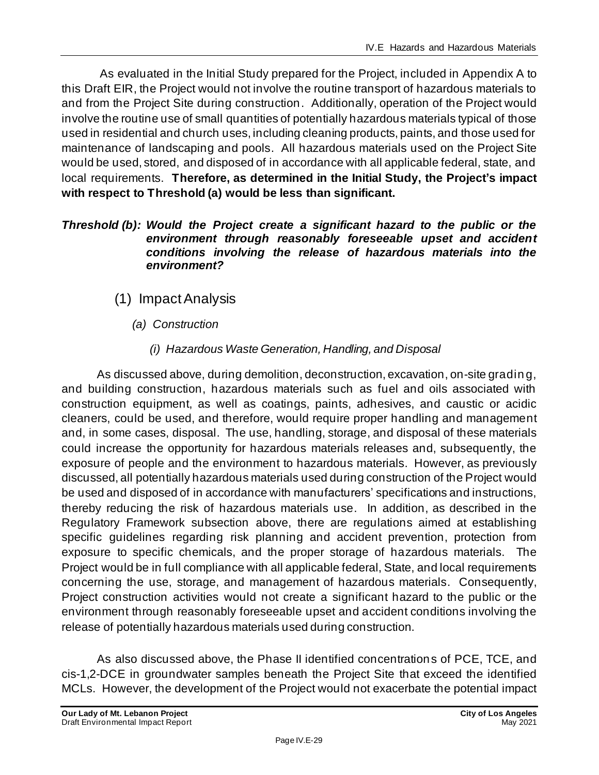As evaluated in the Initial Study prepared for the Project, included in Appendix A to this Draft EIR, the Project would not involve the routine transport of hazardous materials to and from the Project Site during construction. Additionally, operation of the Project would involve the routine use of small quantities of potentially hazardous materials typical of those used in residential and church uses, including cleaning products, paints, and those used for maintenance of landscaping and pools. All hazardous materials used on the Project Site would be used, stored, and disposed of in accordance with all applicable federal, state, and local requirements. **Therefore, as determined in the Initial Study, the Project's impact with respect to Threshold (a) would be less than significant.**

#### *Threshold (b): Would the Project create a significant hazard to the public or the environment through reasonably foreseeable upset and accident conditions involving the release of hazardous materials into the environment?*

- (1) Impact Analysis
	- *(a) Construction*
		- *(i) Hazardous Waste Generation, Handling, and Disposal*

As discussed above, during demolition, deconstruction, excavation, on-site gradin g, and building construction, hazardous materials such as fuel and oils associated with construction equipment, as well as coatings, paints, adhesives, and caustic or acidic cleaners, could be used, and therefore, would require proper handling and management and, in some cases, disposal. The use, handling, storage, and disposal of these materials could increase the opportunity for hazardous materials releases and, subsequently, the exposure of people and the environment to hazardous materials. However, as previously discussed, all potentially hazardous materials used during construction of the Project would be used and disposed of in accordance with manufacturers' specifications and instructions, thereby reducing the risk of hazardous materials use. In addition, as described in the Regulatory Framework subsection above, there are regulations aimed at establishing specific guidelines regarding risk planning and accident prevention, protection from exposure to specific chemicals, and the proper storage of hazardous materials. The Project would be in full compliance with all applicable federal, State, and local requirements concerning the use, storage, and management of hazardous materials. Consequently, Project construction activities would not create a significant hazard to the public or the environment through reasonably foreseeable upset and accident conditions involving the release of potentially hazardous materials used during construction.

As also discussed above, the Phase II identified concentrations of PCE, TCE, and cis-1,2-DCE in groundwater samples beneath the Project Site that exceed the identified MCLs. However, the development of the Project would not exacerbate the potential impact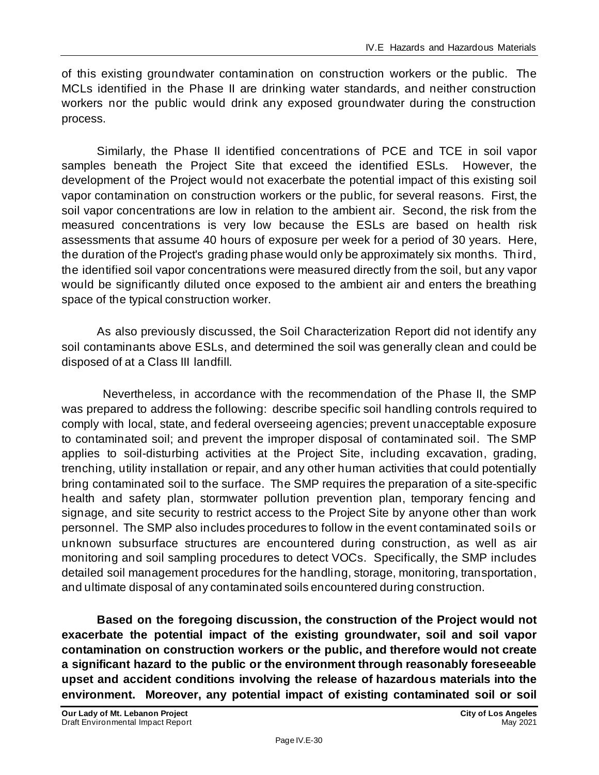of this existing groundwater contamination on construction workers or the public. The MCLs identified in the Phase II are drinking water standards, and neither construction workers nor the public would drink any exposed groundwater during the construction process.

Similarly, the Phase II identified concentrations of PCE and TCE in soil vapor samples beneath the Project Site that exceed the identified ESLs. However, the development of the Project would not exacerbate the potential impact of this existing soil vapor contamination on construction workers or the public, for several reasons. First, the soil vapor concentrations are low in relation to the ambient air. Second, the risk from the measured concentrations is very low because the ESLs are based on health risk assessments that assume 40 hours of exposure per week for a period of 30 years. Here, the duration of the Project's grading phase would only be approximately six months. Third, the identified soil vapor concentrations were measured directly from the soil, but any vapor would be significantly diluted once exposed to the ambient air and enters the breathing space of the typical construction worker.

As also previously discussed, the Soil Characterization Report did not identify any soil contaminants above ESLs, and determined the soil was generally clean and could be disposed of at a Class III landfill.

 Nevertheless, in accordance with the recommendation of the Phase II, the SMP was prepared to address the following: describe specific soil handling controls required to comply with local, state, and federal overseeing agencies; prevent unacceptable exposure to contaminated soil; and prevent the improper disposal of contaminated soil. The SMP applies to soil-disturbing activities at the Project Site, including excavation, grading, trenching, utility installation or repair, and any other human activities that could potentially bring contaminated soil to the surface. The SMP requires the preparation of a site-specific health and safety plan, stormwater pollution prevention plan, temporary fencing and signage, and site security to restrict access to the Project Site by anyone other than work personnel. The SMP also includes procedures to follow in the event contaminated soils or unknown subsurface structures are encountered during construction, as well as air monitoring and soil sampling procedures to detect VOCs. Specifically, the SMP includes detailed soil management procedures for the handling, storage, monitoring, transportation, and ultimate disposal of any contaminated soils encountered during construction.

**Based on the foregoing discussion, the construction of the Project would not exacerbate the potential impact of the existing groundwater, soil and soil vapor contamination on construction workers or the public, and therefore would not create a significant hazard to the public or the environment through reasonably foreseeable upset and accident conditions involving the release of hazardous materials into the environment. Moreover, any potential impact of existing contaminated soil or soil**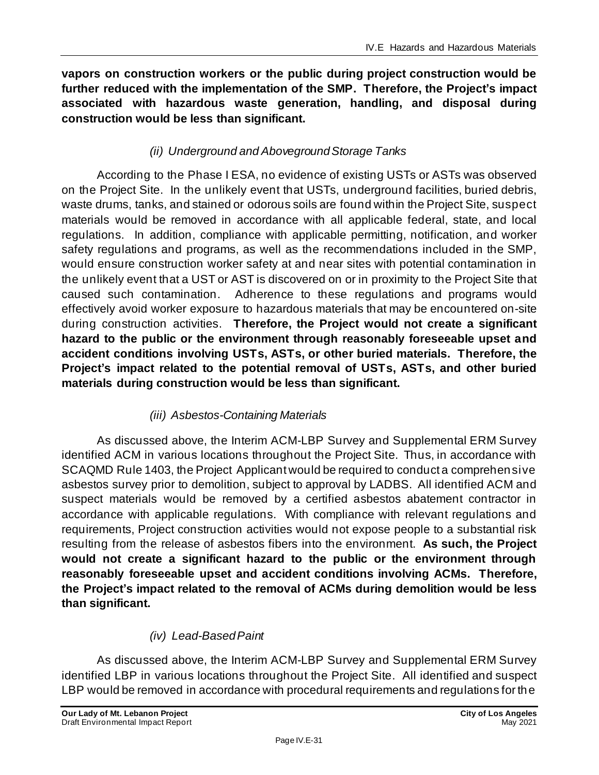**vapors on construction workers or the public during project construction would be further reduced with the implementation of the SMP. Therefore, the Project's impact associated with hazardous waste generation, handling, and disposal during construction would be less than significant.**

# *(ii) Underground and Aboveground Storage Tanks*

According to the Phase I ESA, no evidence of existing USTs or ASTs was observed on the Project Site. In the unlikely event that USTs, underground facilities, buried debris, waste drums, tanks, and stained or odorous soils are found within the Project Site, suspect materials would be removed in accordance with all applicable federal, state, and local regulations. In addition, compliance with applicable permitting, notification, and worker safety regulations and programs, as well as the recommendations included in the SMP, would ensure construction worker safety at and near sites with potential contamination in the unlikely event that a UST or AST is discovered on or in proximity to the Project Site that caused such contamination. Adherence to these regulations and programs would effectively avoid worker exposure to hazardous materials that may be encountered on-site during construction activities. **Therefore, the Project would not create a significant hazard to the public or the environment through reasonably foreseeable upset and accident conditions involving USTs, ASTs, or other buried materials. Therefore, the Project's impact related to the potential removal of USTs, ASTs, and other buried materials during construction would be less than significant.**

# *(iii) Asbestos-Containing Materials*

As discussed above, the Interim ACM-LBP Survey and Supplemental ERM Survey identified ACM in various locations throughout the Project Site. Thus, in accordance with SCAQMD Rule 1403, the Project Applicant would be required to conduct a comprehensive asbestos survey prior to demolition, subject to approval by LADBS. All identified ACM and suspect materials would be removed by a certified asbestos abatement contractor in accordance with applicable regulations. With compliance with relevant regulations and requirements, Project construction activities would not expose people to a substantial risk resulting from the release of asbestos fibers into the environment. **As such, the Project would not create a significant hazard to the public or the environment through reasonably foreseeable upset and accident conditions involving ACMs. Therefore, the Project's impact related to the removal of ACMs during demolition would be less than significant.**

## *(iv) Lead-Based Paint*

As discussed above, the Interim ACM-LBP Survey and Supplemental ERM Survey identified LBP in various locations throughout the Project Site. All identified and suspect LBP would be removed in accordance with procedural requirements and regulations for the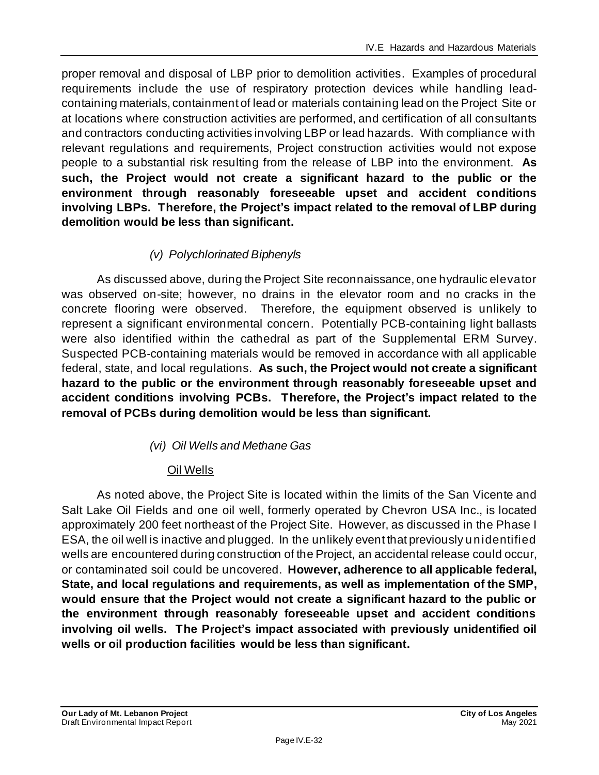proper removal and disposal of LBP prior to demolition activities. Examples of procedural requirements include the use of respiratory protection devices while handling leadcontaining materials, containment of lead or materials containing lead on the Project Site or at locations where construction activities are performed, and certification of all consultants and contractors conducting activities involving LBP or lead hazards. With compliance with relevant regulations and requirements, Project construction activities would not expose people to a substantial risk resulting from the release of LBP into the environment. **As such, the Project would not create a significant hazard to the public or the environment through reasonably foreseeable upset and accident conditions involving LBPs. Therefore, the Project's impact related to the removal of LBP during demolition would be less than significant.**

# *(v) Polychlorinated Biphenyls*

As discussed above, during the Project Site reconnaissance, one hydraulic elevator was observed on-site; however, no drains in the elevator room and no cracks in the concrete flooring were observed. Therefore, the equipment observed is unlikely to represent a significant environmental concern. Potentially PCB-containing light ballasts were also identified within the cathedral as part of the Supplemental ERM Survey. Suspected PCB-containing materials would be removed in accordance with all applicable federal, state, and local regulations. **As such, the Project would not create a significant hazard to the public or the environment through reasonably foreseeable upset and accident conditions involving PCBs. Therefore, the Project's impact related to the removal of PCBs during demolition would be less than significant.**

## *(vi) Oil Wells and Methane Gas*

#### Oil Wells

As noted above, the Project Site is located within the limits of the San Vicente and Salt Lake Oil Fields and one oil well, formerly operated by Chevron USA Inc., is located approximately 200 feet northeast of the Project Site. However, as discussed in the Phase I ESA, the oil well is inactive and plugged. In the unlikely event that previously unidentified wells are encountered during construction of the Project, an accidental release could occur, or contaminated soil could be uncovered. **However, adherence to all applicable federal, State, and local regulations and requirements, as well as implementation of the SMP, would ensure that the Project would not create a significant hazard to the public or the environment through reasonably foreseeable upset and accident conditions involving oil wells. The Project's impact associated with previously unidentified oil wells or oil production facilities would be less than significant.**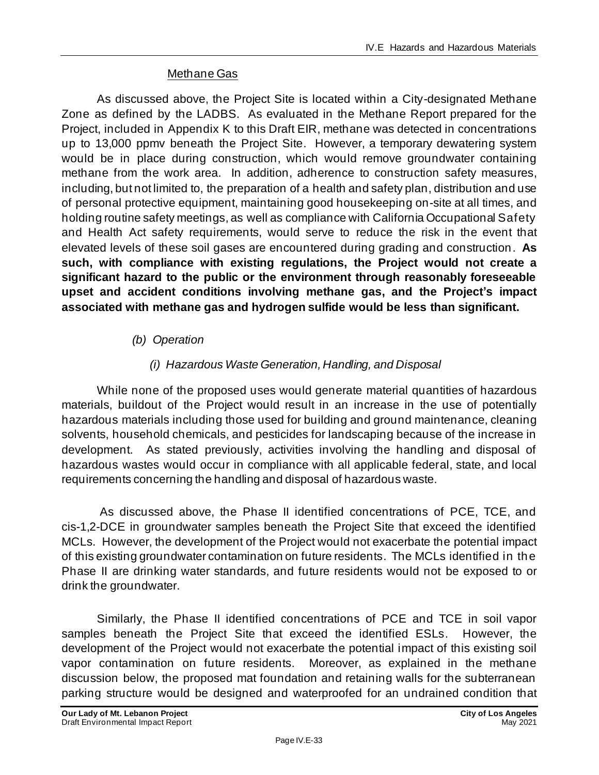#### Methane Gas

As discussed above, the Project Site is located within a City-designated Methane Zone as defined by the LADBS. As evaluated in the Methane Report prepared for the Project, included in Appendix K to this Draft EIR, methane was detected in concentrations up to 13,000 ppmv beneath the Project Site. However, a temporary dewatering system would be in place during construction, which would remove groundwater containing methane from the work area. In addition, adherence to construction safety measures, including, but not limited to, the preparation of a health and safety plan, distribution and use of personal protective equipment, maintaining good housekeeping on-site at all times, and holding routine safety meetings, as well as compliance with California Occupational Safety and Health Act safety requirements, would serve to reduce the risk in the event that elevated levels of these soil gases are encountered during grading and construction. **As such, with compliance with existing regulations, the Project would not create a significant hazard to the public or the environment through reasonably foreseeable upset and accident conditions involving methane gas, and the Project's impact associated with methane gas and hydrogen sulfide would be less than significant.**

#### *(b) Operation*

## *(i) Hazardous Waste Generation, Handling, and Disposal*

While none of the proposed uses would generate material quantities of hazardous materials, buildout of the Project would result in an increase in the use of potentially hazardous materials including those used for building and ground maintenance, cleaning solvents, household chemicals, and pesticides for landscaping because of the increase in development. As stated previously, activities involving the handling and disposal of hazardous wastes would occur in compliance with all applicable federal, state, and local requirements concerning the handling and disposal of hazardous waste.

As discussed above, the Phase II identified concentrations of PCE, TCE, and cis-1,2-DCE in groundwater samples beneath the Project Site that exceed the identified MCLs. However, the development of the Project would not exacerbate the potential impact of this existing groundwater contamination on future residents. The MCLs identified in the Phase II are drinking water standards, and future residents would not be exposed to or drink the groundwater.

Similarly, the Phase II identified concentrations of PCE and TCE in soil vapor samples beneath the Project Site that exceed the identified ESLs. However, the development of the Project would not exacerbate the potential impact of this existing soil vapor contamination on future residents. Moreover, as explained in the methane discussion below, the proposed mat foundation and retaining walls for the subterranean parking structure would be designed and waterproofed for an undrained condition that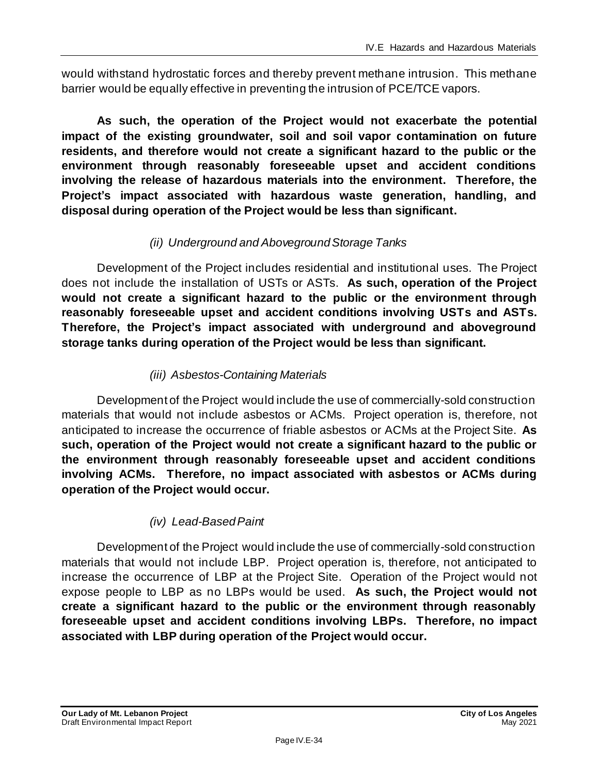would withstand hydrostatic forces and thereby prevent methane intrusion. This methane barrier would be equally effective in preventing the intrusion of PCE/TCE vapors.

**As such, the operation of the Project would not exacerbate the potential impact of the existing groundwater, soil and soil vapor contamination on future residents, and therefore would not create a significant hazard to the public or the environment through reasonably foreseeable upset and accident conditions involving the release of hazardous materials into the environment. Therefore, the Project's impact associated with hazardous waste generation, handling, and disposal during operation of the Project would be less than significant.**

# *(ii) Underground and Aboveground Storage Tanks*

Development of the Project includes residential and institutional uses. The Project does not include the installation of USTs or ASTs. **As such, operation of the Project would not create a significant hazard to the public or the environment through reasonably foreseeable upset and accident conditions involving USTs and ASTs. Therefore, the Project's impact associated with underground and aboveground storage tanks during operation of the Project would be less than significant.**

# *(iii) Asbestos-Containing Materials*

Development of the Project would include the use of commercially-sold construction materials that would not include asbestos or ACMs. Project operation is, therefore, not anticipated to increase the occurrence of friable asbestos or ACMs at the Project Site. **As such, operation of the Project would not create a significant hazard to the public or the environment through reasonably foreseeable upset and accident conditions involving ACMs. Therefore, no impact associated with asbestos or ACMs during operation of the Project would occur.**

## *(iv) Lead-Based Paint*

Development of the Project would include the use of commercially-sold construction materials that would not include LBP. Project operation is, therefore, not anticipated to increase the occurrence of LBP at the Project Site. Operation of the Project would not expose people to LBP as no LBPs would be used. **As such, the Project would not create a significant hazard to the public or the environment through reasonably foreseeable upset and accident conditions involving LBPs. Therefore, no impact associated with LBP during operation of the Project would occur.**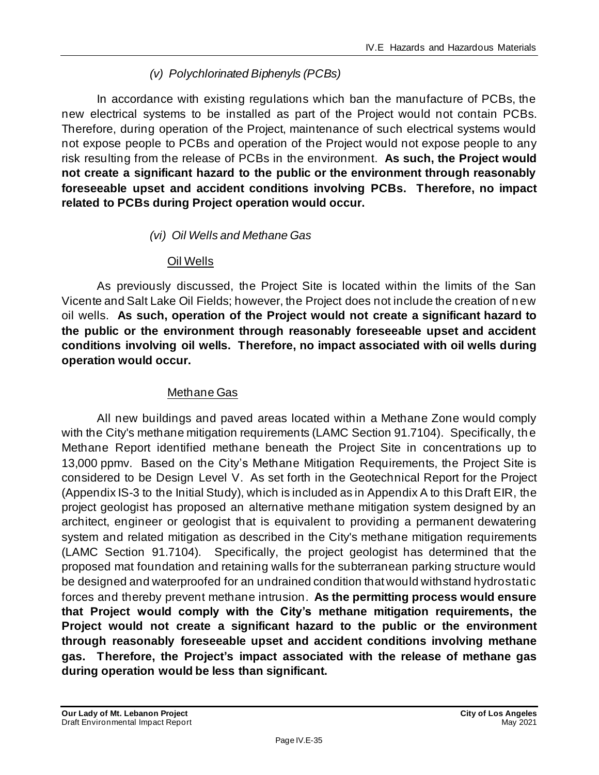# *(v) Polychlorinated Biphenyls (PCBs)*

In accordance with existing regulations which ban the manufacture of PCBs, the new electrical systems to be installed as part of the Project would not contain PCBs. Therefore, during operation of the Project, maintenance of such electrical systems would not expose people to PCBs and operation of the Project would not expose people to any risk resulting from the release of PCBs in the environment. **As such, the Project would not create a significant hazard to the public or the environment through reasonably foreseeable upset and accident conditions involving PCBs. Therefore, no impact related to PCBs during Project operation would occur.**

#### *(vi) Oil Wells and Methane Gas*

#### Oil Wells

As previously discussed, the Project Site is located within the limits of the San Vicente and Salt Lake Oil Fields; however, the Project does not include the creation of new oil wells. **As such, operation of the Project would not create a significant hazard to the public or the environment through reasonably foreseeable upset and accident conditions involving oil wells. Therefore, no impact associated with oil wells during operation would occur.**

#### Methane Gas

All new buildings and paved areas located within a Methane Zone would comply with the City's methane mitigation requirements (LAMC Section 91.7104). Specifically, the Methane Report identified methane beneath the Project Site in concentrations up to 13,000 ppmv. Based on the City's Methane Mitigation Requirements, the Project Site is considered to be Design Level V. As set forth in the Geotechnical Report for the Project (Appendix IS-3 to the Initial Study), which is included as in Appendix A to this Draft EIR, the project geologist has proposed an alternative methane mitigation system designed by an architect, engineer or geologist that is equivalent to providing a permanent dewatering system and related mitigation as described in the City's methane mitigation requirements (LAMC Section 91.7104). Specifically, the project geologist has determined that the proposed mat foundation and retaining walls for the subterranean parking structure would be designed and waterproofed for an undrained condition that would withstand hydrostatic forces and thereby prevent methane intrusion. **As the permitting process would ensure that Project would comply with the City's methane mitigation requirements, the Project would not create a significant hazard to the public or the environment through reasonably foreseeable upset and accident conditions involving methane gas. Therefore, the Project's impact associated with the release of methane gas during operation would be less than significant.**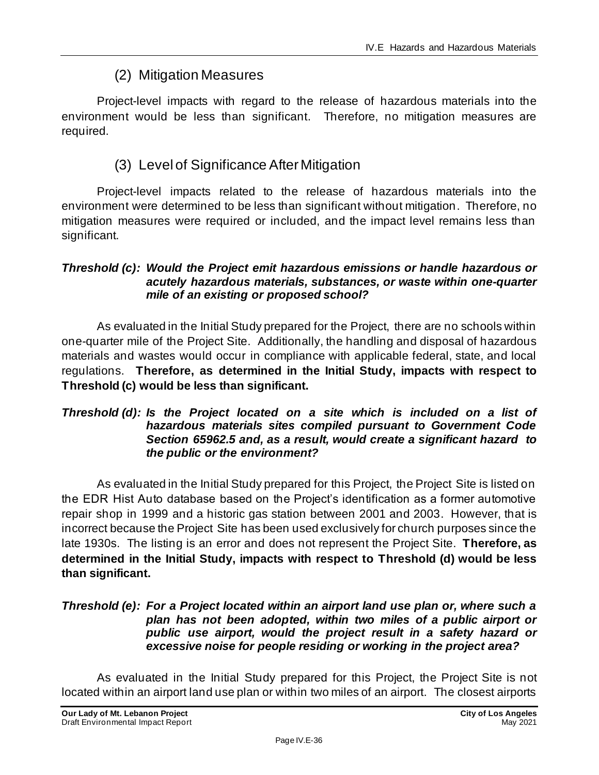# (2) Mitigation Measures

Project-level impacts with regard to the release of hazardous materials into the environment would be less than significant. Therefore, no mitigation measures are required.

# (3) Level of Significance After Mitigation

Project-level impacts related to the release of hazardous materials into the environment were determined to be less than significant without mitigation. Therefore, no mitigation measures were required or included, and the impact level remains less than significant.

#### *Threshold (c): Would the Project emit hazardous emissions or handle hazardous or acutely hazardous materials, substances, or waste within one-quarter mile of an existing or proposed school?*

As evaluated in the Initial Study prepared for the Project, there are no schools within one-quarter mile of the Project Site. Additionally, the handling and disposal of hazardous materials and wastes would occur in compliance with applicable federal, state, and local regulations. **Therefore, as determined in the Initial Study, impacts with respect to Threshold (c) would be less than significant.**

#### *Threshold (d): Is the Project located on a site which is included on a list of hazardous materials sites compiled pursuant to Government Code Section 65962.5 and, as a result, would create a significant hazard to the public or the environment?*

As evaluated in the Initial Study prepared for this Project, the Project Site is listed on the EDR Hist Auto database based on the Project's identification as a former automotive repair shop in 1999 and a historic gas station between 2001 and 2003. However, that is incorrect because the Project Site has been used exclusively for church purposes since the late 1930s. The listing is an error and does not represent the Project Site. **Therefore, as determined in the Initial Study, impacts with respect to Threshold (d) would be less than significant.**

#### *Threshold (e): For a Project located within an airport land use plan or, where such a plan has not been adopted, within two miles of a public airport or public use airport, would the project result in a safety hazard or excessive noise for people residing or working in the project area?*

As evaluated in the Initial Study prepared for this Project, the Project Site is not located within an airport land use plan or within two miles of an airport. The closest airports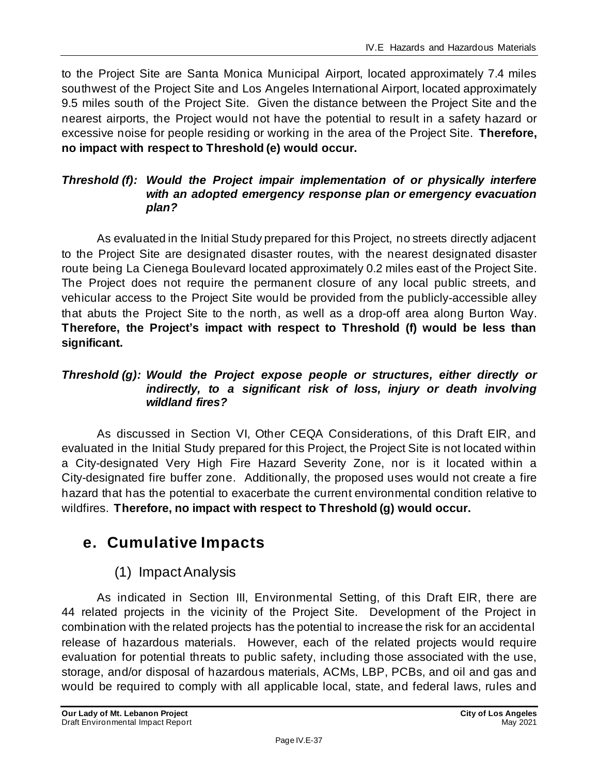to the Project Site are Santa Monica Municipal Airport, located approximately 7.4 miles southwest of the Project Site and Los Angeles International Airport, located approximately 9.5 miles south of the Project Site. Given the distance between the Project Site and the nearest airports, the Project would not have the potential to result in a safety hazard or excessive noise for people residing or working in the area of the Project Site. **Therefore, no impact with respect to Threshold (e) would occur.**

## *Threshold (f): Would the Project impair implementation of or physically interfere with an adopted emergency response plan or emergency evacuation plan?*

As evaluated in the Initial Study prepared for this Project, no streets directly adjacent to the Project Site are designated disaster routes, with the nearest designated disaster route being La Cienega Boulevard located approximately 0.2 miles east of the Project Site. The Project does not require the permanent closure of any local public streets, and vehicular access to the Project Site would be provided from the publicly-accessible alley that abuts the Project Site to the north, as well as a drop-off area along Burton Way. **Therefore, the Project's impact with respect to Threshold (f) would be less than significant.**

## *Threshold (g): Would the Project expose people or structures, either directly or indirectly, to a significant risk of loss, injury or death involving wildland fires?*

As discussed in Section VI, Other CEQA Considerations, of this Draft EIR, and evaluated in the Initial Study prepared for this Project, the Project Site is not located within a City-designated Very High Fire Hazard Severity Zone, nor is it located within a City-designated fire buffer zone. Additionally, the proposed uses would not create a fire hazard that has the potential to exacerbate the current environmental condition relative to wildfires. **Therefore, no impact with respect to Threshold (g) would occur.**

# **e. Cumulative Impacts**

# (1) Impact Analysis

As indicated in Section III, Environmental Setting, of this Draft EIR, there are 44 related projects in the vicinity of the Project Site. Development of the Project in combination with the related projects has the potential to increase the risk for an accidental release of hazardous materials. However, each of the related projects would require evaluation for potential threats to public safety, including those associated with the use, storage, and/or disposal of hazardous materials, ACMs, LBP, PCBs, and oil and gas and would be required to comply with all applicable local, state, and federal laws, rules and